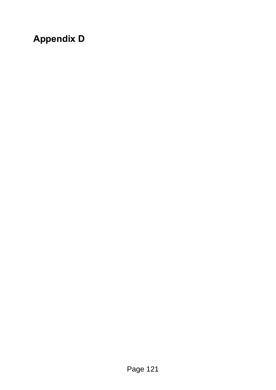## **Appendix D**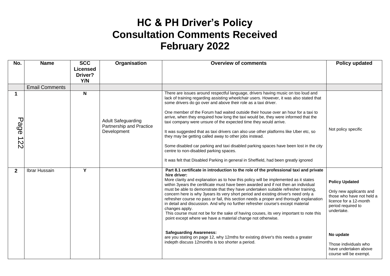## **HC & PH Driver's Policy Consultation Comments Received February 2022**

| No.            | <b>Name</b>           | <b>SCC</b><br><b>Licensed</b><br>Driver?<br>Y/N | Organisation                                                         | <b>Overview of comments</b>                                                                                                                                                                                                                                                                                                                                                                                                                                                                                                                                                                                                                                                                                                                                                                                                                                                                                                                                                                        | Policy updated                                                                                                                                                                                                                       |
|----------------|-----------------------|-------------------------------------------------|----------------------------------------------------------------------|----------------------------------------------------------------------------------------------------------------------------------------------------------------------------------------------------------------------------------------------------------------------------------------------------------------------------------------------------------------------------------------------------------------------------------------------------------------------------------------------------------------------------------------------------------------------------------------------------------------------------------------------------------------------------------------------------------------------------------------------------------------------------------------------------------------------------------------------------------------------------------------------------------------------------------------------------------------------------------------------------|--------------------------------------------------------------------------------------------------------------------------------------------------------------------------------------------------------------------------------------|
|                | <b>Email Comments</b> |                                                 |                                                                      |                                                                                                                                                                                                                                                                                                                                                                                                                                                                                                                                                                                                                                                                                                                                                                                                                                                                                                                                                                                                    |                                                                                                                                                                                                                                      |
| Page 122       |                       | N                                               | <b>Adult Safeguarding</b><br>Partnership and Practice<br>Development | There are issues around respectful language, drivers having music on too loud and<br>lack of training regarding assisting wheelchair users. However, it was also stated that<br>some drivers do go over and above their role as a taxi driver.<br>One member of the Forum had waited outside their house over an hour for a taxi to<br>arrive, when they enquired how long the taxi would be, they were informed that the<br>taxi company were unsure of the expected time they would arrive.<br>It was suggested that as taxi drivers can also use other platforms like Uber etc, so<br>they may be getting called away to other jobs instead.<br>Some disabled car parking and taxi disabled parking spaces have been lost in the city<br>centre to non-disabled parking spaces.<br>It was felt that Disabled Parking in general in Sheffield, had been greatly ignored                                                                                                                          | Not policy specific                                                                                                                                                                                                                  |
| $\overline{2}$ | Ibrar Hussain         | Y                                               |                                                                      | Part 8.1 certificate in introduction to the role of the professional taxi and private<br>hire driver:<br>More clarity and explanation as to how this policy will be implemented as it states<br>within 3years the certificate must have been awarded and if not then an individual<br>must be able to demonstrate that they have undertaken suitable refresher training,<br>concern here is why 3years its very short period and existing driver's need only a<br>refresher course no pass or fail, this section needs a proper and thorough explanation<br>in detail and discussion. And why no further refresher course's except material<br>changes apply.<br>This course must not be for the sake of having couses, its very important to note this<br>point except where we have a material change not otherwise.<br><b>Safeguarding Awareness:</b><br>are you stating on page 12, why 12mths for existing driver's this needs a greater<br>indepth discuss 12months is too shorter a period. | <b>Policy Updated</b><br>Only new applicants and<br>those who have not held a<br>licence for a 12-month<br>period required to<br>undertake.<br>No update<br>Those individuals who<br>have undertaken above<br>course will be exempt. |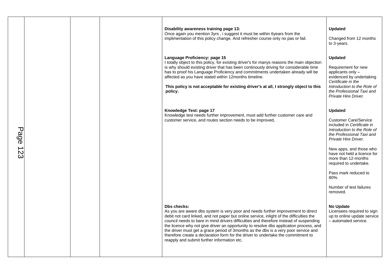|          |  | Disability awareness training page 13:<br>Once again you mention 3yrs, i suggest it must be within 6years from the<br>implimentation of this policy change. And refresher course only no pas or fail.                                                                                                                                                                                                                                                                                                                                                                                                             | <b>Updated</b><br>Changed from 12 months<br>to 3-years.                                                                                                                                                                                                                                                                                     |
|----------|--|-------------------------------------------------------------------------------------------------------------------------------------------------------------------------------------------------------------------------------------------------------------------------------------------------------------------------------------------------------------------------------------------------------------------------------------------------------------------------------------------------------------------------------------------------------------------------------------------------------------------|---------------------------------------------------------------------------------------------------------------------------------------------------------------------------------------------------------------------------------------------------------------------------------------------------------------------------------------------|
|          |  | Language Proficiency: page 15<br>I totally object to this policy, for existing driver's for manys reasons the main objection<br>is why should existing driver that has been continously driving for considerable time<br>has to proof his Language Proficiency and commitments undertaken already will be<br>affected as you have stated within 12months timeline.<br>This policy is not acceptable for existing driver's at all, I strongly object to this<br>policy.                                                                                                                                            | <b>Updated</b><br>Requirement for new<br>applicants only -<br>evidenced by undertaking<br>Certificate in the<br>Introduction to the Role of<br>the Professional Taxi and<br>Private Hire Driver.                                                                                                                                            |
| Page 123 |  | Knowledge Test: page 17<br>Knowledge test needs further improvement, must add further customer care and<br>customer service, and routes section needs to be improved,                                                                                                                                                                                                                                                                                                                                                                                                                                             | Updated<br><b>Customer Care/Service</b><br>included in Certificate in<br>Introduction to the Role of<br>the Professional Taxi and<br>Private Hire Driver.<br>New apps, and those who<br>have not held a licence for<br>more than 12-months<br>required to undertake.<br>Pass mark reduced to<br>80%.<br>Number of test failures<br>removed. |
|          |  | <b>Dbs checks:</b><br>As you are aware dbs system is very poor and needs further improvement to direct<br>debit not card linked, and not paper but online service, inlight of the difficulties the<br>council needs to bare in mind drivers difficulties and therefore instead of suspending<br>the licence why not give driver an opportunity to resolve dbs application process, and<br>the driver must get a grace period of 3months as the dbs is a very poor service and<br>therefore create a declaration form for the driver to undertake the commitment to<br>reapply and submit further information etc. | <b>No Update</b><br>Licensees required to sign<br>up to online update service<br>- automated service.                                                                                                                                                                                                                                       |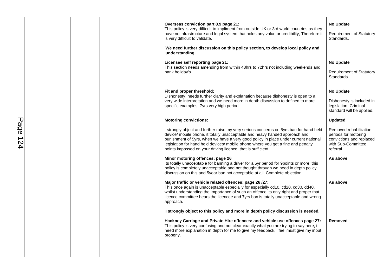|             |  | Overseas conviction part 8.9 page 21:<br>This policy is very difficult to impliment from outside UK or 3rd world countries as they<br>have no infrastructure and legal system that holds any value or credibility, Therefore it<br>is very difficult to validate.                                                                                                                                                | <b>No Update</b><br><b>Requirement of Statutory</b><br>Standards.                                             |
|-------------|--|------------------------------------------------------------------------------------------------------------------------------------------------------------------------------------------------------------------------------------------------------------------------------------------------------------------------------------------------------------------------------------------------------------------|---------------------------------------------------------------------------------------------------------------|
|             |  | We need further discussion on this policy section, to develop local policy and<br>understanding.                                                                                                                                                                                                                                                                                                                 |                                                                                                               |
|             |  | Licensee self reporting page 21:<br>This section needs amending from within 48hrs to 72hrs not including weekends and<br>bank holiday's.                                                                                                                                                                                                                                                                         | <b>No Update</b><br><b>Requirement of Statutory</b><br>Standards                                              |
|             |  | Fit and proper threshold:<br>Dishonesty: needs further clarity and explanation because dishonesty is open to a<br>very wide interpretation and we need more in depth discussion to defined to more<br>specific examples. Tyrs very high period                                                                                                                                                                   | <b>No Update</b><br>Dishonesty is included in<br>legislation. Criminal<br>standard will be applied.           |
|             |  | <b>Motoring convictions:</b>                                                                                                                                                                                                                                                                                                                                                                                     | <b>Updated</b>                                                                                                |
| Page<br>124 |  | I strongly object and further raise my very serious concerns on 5yrs ban for hand held<br>device/ mobile phone, it totally unacceptable and heavy handed approach and<br>punishment of 5yrs, when we have a very good policy in place under current national<br>legislation for hand held devices/ mobile phone where you get a fine and penalty<br>points impossed on your driving licence, that is sufficient. | Removed rehabilitation<br>periods for motoring<br>convictions and replaced<br>with Sub-Committee<br>referral. |
|             |  | Minor motoring offences: page 26<br>Its totally unacceptable for banning a driver for a 5yr period for 9points or more, this<br>policy is completely unacceptable and not thought through we need in depth policy<br>discussion on this and 5year ban not acceptable at all. Complete objection.                                                                                                                 | As above                                                                                                      |
|             |  | Major traffic or vehicle related offences: page 26 /27:<br>This once again is unacceptable especially for especially cd10, cd20, cd30, dd40,<br>whilst understanding the importance of such an offence its only right and proper that<br>licence committee hears the licencee and 7yrs ban is totally unacceptable and wrong<br>approach.                                                                        | As above                                                                                                      |
|             |  | I strongly object to this policy and more in depth policy discussion is needed.                                                                                                                                                                                                                                                                                                                                  |                                                                                                               |
|             |  | Hackney Carriage and Private Hire offences: and vehicle use offences page 27:<br>This policy is very confusing and not clear exactly what you are trying to say here, i<br>need more explanation in depth for me to give my feedback, i feel must give my input<br>properly.                                                                                                                                     | Removed                                                                                                       |
|             |  |                                                                                                                                                                                                                                                                                                                                                                                                                  |                                                                                                               |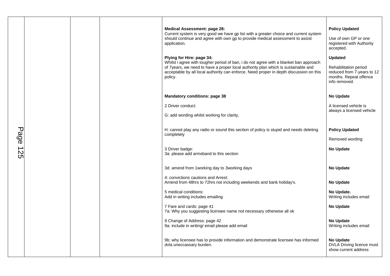|      |  |                                                                                                             | <b>Medical Assessment: page 28:</b><br>Current system is very good we have gp list with a greater choice and current system<br>should continue and agree with own gp to provide medical assessment to assist<br>application.<br>Plying for Hire: page 34:<br>Whilst i agree with tougher period of ban, i do not agree with a blanket ban approach<br>of 7years, we need to have a proper local authority plan which is sustainable and<br>acceptable by all local authority can enforce. Need proper in depth discussion on this<br>policy. | <b>Policy Updated</b><br>Use of own GP or one<br>registered with Authority<br>accepted.<br><b>Updated</b><br>Rehabilitation period<br>reduced from 7-years to 12<br>months. Repeat offence<br>info removed. |
|------|--|-------------------------------------------------------------------------------------------------------------|----------------------------------------------------------------------------------------------------------------------------------------------------------------------------------------------------------------------------------------------------------------------------------------------------------------------------------------------------------------------------------------------------------------------------------------------------------------------------------------------------------------------------------------------|-------------------------------------------------------------------------------------------------------------------------------------------------------------------------------------------------------------|
|      |  |                                                                                                             | <b>Mandatory conditions: page 38</b>                                                                                                                                                                                                                                                                                                                                                                                                                                                                                                         | <b>No Update</b>                                                                                                                                                                                            |
|      |  |                                                                                                             | 2 Driver conduct:                                                                                                                                                                                                                                                                                                                                                                                                                                                                                                                            | A licensed vehicle is<br>always a licensed vehicle                                                                                                                                                          |
|      |  |                                                                                                             | G: add wording whilst working for clarity,                                                                                                                                                                                                                                                                                                                                                                                                                                                                                                   |                                                                                                                                                                                                             |
| Page |  |                                                                                                             | H: cannot play any radio or sound this section of policy is stupid and needs deleting<br>completely                                                                                                                                                                                                                                                                                                                                                                                                                                          | <b>Policy Updated</b><br>Removed wording                                                                                                                                                                    |
| 425  |  |                                                                                                             | 3 Driver badge:<br>3a: please add armsband to this section                                                                                                                                                                                                                                                                                                                                                                                                                                                                                   | <b>No Update</b>                                                                                                                                                                                            |
|      |  |                                                                                                             | 3d: amend from 1 working day to 3 working days                                                                                                                                                                                                                                                                                                                                                                                                                                                                                               | <b>No Update</b>                                                                                                                                                                                            |
|      |  | 4: convictions cautions and Arrest:<br>Amend from 48hrs to 72hrs not including weekends and bank holiday's. | <b>No Update</b>                                                                                                                                                                                                                                                                                                                                                                                                                                                                                                                             |                                                                                                                                                                                                             |
|      |  |                                                                                                             | 5 medical conditions:<br>Add in writing includes emailing                                                                                                                                                                                                                                                                                                                                                                                                                                                                                    | No Update.<br>Writing includes email                                                                                                                                                                        |
|      |  |                                                                                                             | 7 Fare and cards: page 41<br>7a: Why you suggesting licensee name not necessary otherwise all ok                                                                                                                                                                                                                                                                                                                                                                                                                                             | <b>No Update</b>                                                                                                                                                                                            |
|      |  |                                                                                                             | 9 Change of Address: page 42<br>9a: include in writing/ email please add email                                                                                                                                                                                                                                                                                                                                                                                                                                                               | <b>No Update</b><br>Writing includes email                                                                                                                                                                  |
|      |  |                                                                                                             | 9b: why licensee has to provide information and demonstrate licensee has informed<br>dvla uneccassary burden.                                                                                                                                                                                                                                                                                                                                                                                                                                | <b>No Update</b><br><b>DVLA Driving licence must</b><br>show current address                                                                                                                                |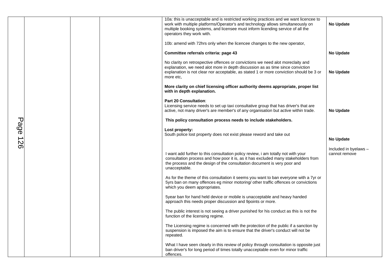|             |  | 10a: this is unacceptable and is restricted working practices and we want licencee to<br>work with multiple platforms/Operator's and technology allows simultaneously on<br>multiple booking systems, and licensee must inform licending service of all the<br>operators they work with. | <b>No Update</b>                       |
|-------------|--|------------------------------------------------------------------------------------------------------------------------------------------------------------------------------------------------------------------------------------------------------------------------------------------|----------------------------------------|
|             |  | 10b: amend with 72hrs only when the licencee changes to the new operator,                                                                                                                                                                                                                |                                        |
|             |  | Committee referrals criteria: page 43                                                                                                                                                                                                                                                    | <b>No Update</b>                       |
|             |  | No clarity on retrospective offences or convictions we need alot moreclaity and<br>explanation, we need alot more in depth discussion as as time since conviction<br>explanation is not clear nor acceptable, as stated 1 or more conviction should be 3 or<br>more etc.                 | <b>No Update</b>                       |
|             |  | More clarity on chief licensing officer authority deems appropriate, proper list<br>with in depth explanation.                                                                                                                                                                           |                                        |
|             |  | <b>Part 20 Consultation:</b><br>Licensing service needs to set up taxi consultative group that has driver's that are<br>active, not many driver's are member's of any organisation but active within trade.                                                                              | <b>No Update</b>                       |
|             |  | This policy consultation process needs to include stakeholders.                                                                                                                                                                                                                          |                                        |
| Page<br>126 |  | Lost property:<br>South police lost property does not exist please reword and take out                                                                                                                                                                                                   | <b>No Update</b>                       |
|             |  | I want add further to this consultation policy review, i am totally not with your<br>consultation process and how poor it is, as it has excluded many stakeholders from<br>the process and the design of the consultation document is very poor and<br>unacceptable.                     | Included in byelaws -<br>cannot remove |
|             |  | As for the theme of this consultation it seems you want to ban everyone with a 7yr or<br>5yrs ban on many offences eg minor motoring/ other traffic offences or convictions<br>which you deem appropriates.                                                                              |                                        |
|             |  | 5year ban for hand held device or mobile is unacceptable and heavy handed<br>approach this needs proper discussion and 9points or more.                                                                                                                                                  |                                        |
|             |  | The public interest is not seeing a driver punished for his conduct as this is not the<br>function of the licensing regime.                                                                                                                                                              |                                        |
|             |  | The Licensing regime is concerned with the protection of the public if a sanction by<br>suspension is imposed the aim is to ensure that the driver's conduct will not be<br>repeated.                                                                                                    |                                        |
|             |  | What I have seen clearly in this review of policy through consultation is opposite just<br>ban driver's for long period of times totally unacceptable even for minor traffic<br>offences.                                                                                                |                                        |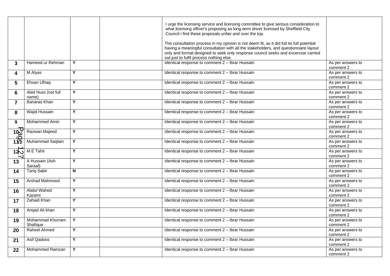|                  |                              |                         | I urge the licensing service and licensing committee to give serious consideration to<br>what licensing officer's proposing as long-term driver licensed by Sheffield City<br>Council i find these proposals unfair and over the top.<br>The consultation process in my opinion is not deem fit, as it did full its full potential<br>having a meaningful consultation with all the stakeholders, and questionnaire layout<br>only and format designed to seek only response council seeks and excercise carried<br>out just to fulfil process nothing else. |                                |
|------------------|------------------------------|-------------------------|--------------------------------------------------------------------------------------------------------------------------------------------------------------------------------------------------------------------------------------------------------------------------------------------------------------------------------------------------------------------------------------------------------------------------------------------------------------------------------------------------------------------------------------------------------------|--------------------------------|
| 3                | Hameed ur Rehman             | Y                       | Identical response to comment 2 - Ibrar Hussain                                                                                                                                                                                                                                                                                                                                                                                                                                                                                                              | As per answers to<br>comment 2 |
| 4                | M Alyas                      | Y                       | Identical response to comment 2 - Ibrar Hussain                                                                                                                                                                                                                                                                                                                                                                                                                                                                                                              | As per answers to<br>comment 2 |
| 5                | Ehsan Ulhaq                  | Y                       | Identical response to comment 2 - Ibrar Hussain                                                                                                                                                                                                                                                                                                                                                                                                                                                                                                              | As per answers to<br>comment 2 |
| 6                | Abid Huss (not full<br>name) | Y                       | Identical response to comment 2 - Ibrar Hussain                                                                                                                                                                                                                                                                                                                                                                                                                                                                                                              | As per answers to<br>comment 2 |
| $\overline{7}$   | Banaras Khan                 | Y                       | Identical response to comment 2 - Ibrar Hussain                                                                                                                                                                                                                                                                                                                                                                                                                                                                                                              | As per answers to<br>comment 2 |
| 8                | Wajid Hussain                | Y                       | Identical response to comment 2 - Ibrar Hussain                                                                                                                                                                                                                                                                                                                                                                                                                                                                                                              | As per answers to<br>comment 2 |
| 9                | Mohammed Amin                | $\overline{Y}$          | Identical response to comment 2 - Ibrar Hussain                                                                                                                                                                                                                                                                                                                                                                                                                                                                                                              | As per answers to<br>comment 2 |
| $\overline{100}$ | Razwan Majeed                | $\overline{\mathsf{Y}}$ | Identical response to comment 2 - Ibrar Hussain                                                                                                                                                                                                                                                                                                                                                                                                                                                                                                              | As per answers to<br>comment 2 |
| $\frac{1}{10}$   | Muhammad Saqlain             | Y                       | Identical response to comment 2 - Ibrar Hussain                                                                                                                                                                                                                                                                                                                                                                                                                                                                                                              | As per answers to<br>comment 2 |
| 120              | M E Tahir                    | $\overline{\mathsf{Y}}$ | Identical response to comment 2 - Ibrar Hussain                                                                                                                                                                                                                                                                                                                                                                                                                                                                                                              | As per answers to<br>comment 2 |
| 13               | A Hussain (Ash<br>Saraaf)    | Y                       | Identical response to comment 2 - Ibrar Hussain                                                                                                                                                                                                                                                                                                                                                                                                                                                                                                              | As per answers to<br>comment 2 |
| 14               | <b>Tariq Sabir</b>           | N                       | Identical response to comment 2 - Ibrar Hussain                                                                                                                                                                                                                                                                                                                                                                                                                                                                                                              | As per answers to<br>comment 2 |
| 15               | Arshad Mahmood               | Y                       | Identical response to comment 2 - Ibrar Hussain                                                                                                                                                                                                                                                                                                                                                                                                                                                                                                              | As per answers to<br>comment 2 |
| 16               | <b>Abdul Wahed</b><br>Kazemi | Y                       | Identical response to comment 2 - Ibrar Hussain                                                                                                                                                                                                                                                                                                                                                                                                                                                                                                              | As per answers to<br>comment 2 |
| 17               | Zahaid Khan                  | $\overline{Y}$          | Identical response to comment 2 - Ibrar Hussain                                                                                                                                                                                                                                                                                                                                                                                                                                                                                                              | As per answers to<br>comment 2 |
| 18               | Amjad Ali khan               | Y                       | Identical response to comment 2 - Ibrar Hussain                                                                                                                                                                                                                                                                                                                                                                                                                                                                                                              | As per answers to<br>comment 2 |
| 19               | Mohammad Khurram<br>Shafique | Y                       | Identical response to comment 2 - Ibrar Hussain                                                                                                                                                                                                                                                                                                                                                                                                                                                                                                              | As per answers to<br>comment 2 |
| 20               | Raheel Ahmed                 | Y                       | Identical response to comment 2 - Ibrar Hussain                                                                                                                                                                                                                                                                                                                                                                                                                                                                                                              | As per answers to<br>comment 2 |
| 21               | Asif Qadoos                  | Y                       | Identical response to comment 2 - Ibrar Hussain                                                                                                                                                                                                                                                                                                                                                                                                                                                                                                              | As per answers to<br>comment 2 |
| 22               | <b>Mohammed Ramzan</b>       | Y                       | Identical response to comment 2 - Ibrar Hussain                                                                                                                                                                                                                                                                                                                                                                                                                                                                                                              | As per answers to<br>comment 2 |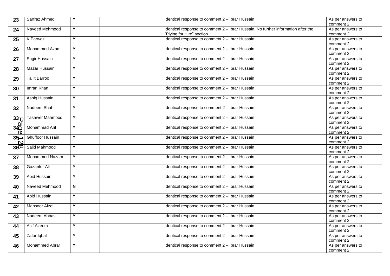| 23              | Sarfraz Ahmed           | Y                       | Identical response to comment 2 - Ibrar Hussain                                   | As per answers to<br>comment 2 |
|-----------------|-------------------------|-------------------------|-----------------------------------------------------------------------------------|--------------------------------|
| 24              | Naveed Mehmood          | Y                       | Identical response to comment 2 - Ibrar Hussain. No further information after the | As per answers to              |
|                 |                         |                         | "Plying for Hire" section                                                         | comment 2                      |
| 25              | <b>K</b> Parwez         | Y                       | Identical response to comment 2 - Ibrar Hussain                                   | As per answers to              |
|                 |                         |                         |                                                                                   | comment 2                      |
| 26              | Mohammed Azam           | Y                       | Identical response to comment 2 - Ibrar Hussain                                   | As per answers to<br>comment 2 |
|                 | Sagir Hussain           | Y                       | Identical response to comment 2 - Ibrar Hussain                                   | As per answers to              |
| 27              |                         |                         |                                                                                   | comment 2                      |
| 28              | Mazar Hussain           | Y                       | Identical response to comment 2 - Ibrar Hussain                                   | As per answers to              |
|                 |                         |                         |                                                                                   | comment 2                      |
| 29              | <b>Tallit Barroo</b>    | Y                       | Identical response to comment 2 - Ibrar Hussain                                   | As per answers to              |
|                 |                         |                         |                                                                                   | comment 2                      |
| 30              | Imran Khan              | Ÿ                       | Identical response to comment 2 - Ibrar Hussain                                   | As per answers to              |
|                 |                         |                         |                                                                                   | comment 2                      |
| 31              | Ashiq Hussain           | Y                       | Identical response to comment 2 - Ibrar Hussain                                   | As per answers to              |
|                 |                         |                         |                                                                                   | comment 2                      |
| 32              | Nadeem Shah             | Y                       | Identical response to comment 2 - Ibrar Hussain                                   | As per answers to              |
|                 |                         |                         |                                                                                   | comment 2                      |
| 33 <sub>U</sub> | <b>Tasawer Mahmood</b>  | Y                       | Identical response to comment 2 - Ibrar Hussain                                   | As per answers to              |
| <u>ته</u>       |                         |                         |                                                                                   | comment 2                      |
|                 | Mohammad Arif           | Y                       | Identical response to comment 2 - Ibrar Hussain                                   | As per answers to              |
| $\frac{36}{0}$  |                         |                         |                                                                                   | comment 2                      |
| $35 -$          | <b>Ghuffoor Hussain</b> | $\overline{Y}$          | Identical response to comment 2 - Ibrar Hussain                                   | As per answers to              |
| $\mathbf D$     |                         |                         |                                                                                   | comment 2                      |
| 3600            | Sajid Mahmood           | Y                       | Identical response to comment 2 - Ibrar Hussain                                   | As per answers to              |
|                 |                         |                         |                                                                                   | comment 2                      |
| 37              | Mohammed Nazam          | $\overline{Y}$          | Identical response to comment 2 - Ibrar Hussain                                   | As per answers to              |
|                 |                         |                         |                                                                                   | comment 2                      |
| 38              | Gazanfer Ali            | Y                       | Identical response to comment 2 - Ibrar Hussain                                   | As per answers to              |
|                 |                         |                         |                                                                                   | comment 2                      |
| 39              | Abid Hussain            | Y                       | Identical response to comment 2 - Ibrar Hussain                                   | As per answers to              |
|                 |                         |                         |                                                                                   | comment 2                      |
| 40              | Naveed Mehmood          | $\overline{\mathsf{N}}$ | Identical response to comment 2 - Ibrar Hussain                                   | As per answers to              |
|                 |                         |                         |                                                                                   | comment 2                      |
| 41              | Abid Hussain            | Y                       | Identical response to comment 2 - Ibrar Hussain                                   | As per answers to              |
|                 |                         |                         |                                                                                   | comment 2                      |
| 42              | <b>Mansoor Afzal</b>    | Y                       | Identical response to comment 2 - Ibrar Hussain                                   | As per answers to              |
|                 |                         |                         |                                                                                   | comment 2                      |
| 43              | Nadeem Abbas            | Y                       | Identical response to comment 2 - Ibrar Hussain                                   | As per answers to              |
|                 |                         |                         |                                                                                   | comment 2                      |
| 44              | Asif Azeem              | Y                       | Identical response to comment 2 - Ibrar Hussain                                   | As per answers to              |
|                 |                         |                         |                                                                                   | comment 2                      |
| 45              | Zafar Iqbal             | Y                       | Identical response to comment 2 - Ibrar Hussain                                   | As per answers to              |
|                 |                         |                         |                                                                                   | comment 2                      |
| 46              | Mohammed Abrar          | Y                       | Identical response to comment 2 - Ibrar Hussain                                   | As per answers to              |
|                 |                         |                         |                                                                                   | comment 2                      |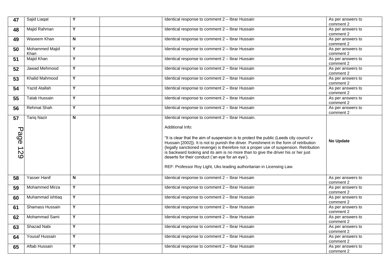| 47     | Sajid Liagat          | Y                       | Identical response to comment 2 - Ibrar Hussain                                        | As per answers to              |
|--------|-----------------------|-------------------------|----------------------------------------------------------------------------------------|--------------------------------|
|        |                       |                         |                                                                                        | comment 2                      |
| 48     | Majid Rahman          | Y                       | Identical response to comment 2 - Ibrar Hussain                                        | As per answers to              |
|        |                       |                         |                                                                                        | comment 2                      |
| 49     | Waseem Khan           | $\overline{\mathsf{N}}$ | Identical response to comment 2 - Ibrar Hussain                                        | As per answers to              |
|        |                       |                         |                                                                                        | comment 2                      |
| 50     | Mohammed Majid        | $\overline{Y}$          | Identical response to comment 2 - Ibrar Hussain                                        | As per answers to              |
|        | Khan                  |                         |                                                                                        | comment 2                      |
| 51     | Majid Khan            | Y                       | Identical response to comment 2 - Ibrar Hussain                                        | As per answers to              |
|        |                       |                         |                                                                                        | comment 2                      |
| 52     | Jawad Mehmood         | Y                       | Identical response to comment 2 - Ibrar Hussain                                        | As per answers to              |
|        |                       |                         |                                                                                        | comment 2                      |
| 53     | <b>Khalid Mahmood</b> | Y                       | Identical response to comment 2 - Ibrar Hussain                                        | As per answers to              |
|        |                       |                         |                                                                                        | comment 2                      |
| 54     | <b>Yazid Atallah</b>  | Y                       | Identical response to comment 2 - Ibrar Hussain                                        | As per answers to              |
|        |                       |                         |                                                                                        | comment 2                      |
| 55     | <b>Talab Hussain</b>  | Y                       | Identical response to comment 2 - Ibrar Hussain                                        | As per answers to              |
|        |                       |                         |                                                                                        | comment 2                      |
| 56     | <b>Rehmat Shah</b>    | Y                       | Identical response to comment 2 - Ibrar Hussain                                        | As per answers to              |
|        |                       |                         |                                                                                        | comment 2                      |
| 57     | <b>Tariq Nazir</b>    | N                       | Identical response to comment 2 - Ibrar Hussain.                                       |                                |
|        |                       |                         |                                                                                        |                                |
|        |                       |                         | Additional Info:                                                                       |                                |
|        |                       |                         |                                                                                        |                                |
|        |                       |                         |                                                                                        |                                |
|        |                       |                         |                                                                                        |                                |
|        |                       |                         | "It is clear that the aim of suspension is to protect the public (Leeds city council v | <b>No Update</b>               |
| Page   |                       |                         | Hussain [2002]). It is not to punish the driver. Punishment in the form of retribution |                                |
|        |                       |                         | (legally sanctioned revenge) is therefore not a proper use of suspension. Retribution  |                                |
|        |                       |                         | is backward looking and its aim is no more than to give the driver his or her just     |                                |
| 2<br>2 |                       |                         | deserts for their conduct ('an eye for an eye').                                       |                                |
|        |                       |                         |                                                                                        |                                |
|        |                       |                         | REF: Professor Roy Light, Uks leading authoritarian in Licensing Law.                  |                                |
|        |                       |                         |                                                                                        |                                |
| 58     | Yasser Hanif          | N                       | Identical response to comment 2 - Ibrar Hussain                                        | As per answers to              |
|        |                       |                         |                                                                                        | comment 2                      |
| 59     | Mohammed Mirza        | Y                       | Identical response to comment 2 - Ibrar Hussain                                        | As per answers to              |
|        |                       |                         |                                                                                        | comment 2                      |
| 60     | Muhammad ishtiaq      | Y                       | Identical response to comment 2 - Ibrar Hussain                                        | As per answers to              |
|        |                       |                         |                                                                                        | comment 2                      |
| 61     | Shamass Hussain       | Y                       | Identical response to comment 2 - Ibrar Hussain                                        | As per answers to              |
|        |                       |                         |                                                                                        | comment 2                      |
| 62     | Mohammad Sami         | Y                       | Identical response to comment 2 - Ibrar Hussain                                        | As per answers to              |
|        |                       |                         |                                                                                        | comment 2                      |
| 63     | Shazad Nabi           | Y                       | Identical response to comment 2 - Ibrar Hussain                                        | As per answers to              |
|        |                       |                         |                                                                                        | comment 2                      |
| 64     | Yousaf Hussain        | Y                       | Identical response to comment 2 - Ibrar Hussain                                        | As per answers to              |
|        |                       |                         |                                                                                        | comment 2                      |
| 65     | Aftab Hussain         | Y                       | Identical response to comment 2 - Ibrar Hussain                                        | As per answers to<br>comment 2 |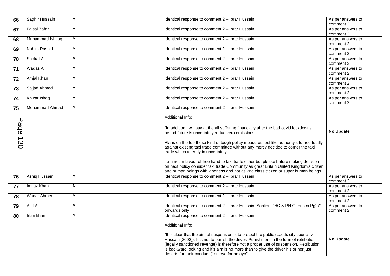| 66   | Saghir Hussain      | Y              | Identical response to comment 2 - Ibrar Hussain                                                                                                                                  | As per answers to              |
|------|---------------------|----------------|----------------------------------------------------------------------------------------------------------------------------------------------------------------------------------|--------------------------------|
|      |                     |                |                                                                                                                                                                                  | comment 2                      |
| 67   | <b>Faisal Zafar</b> | Y              | Identical response to comment 2 - Ibrar Hussain                                                                                                                                  | As per answers to              |
|      |                     |                |                                                                                                                                                                                  | comment 2                      |
| 68   | Muhammad Ishtiaq    | Y              | Identical response to comment 2 - Ibrar Hussain                                                                                                                                  | As per answers to<br>comment 2 |
| 69   | Nahim Rashid        | $\overline{Y}$ | Identical response to comment 2 - Ibrar Hussain                                                                                                                                  | As per answers to              |
|      |                     |                |                                                                                                                                                                                  | comment 2                      |
| 70   | Shokat Ali          | Y              | Identical response to comment 2 - Ibrar Hussain                                                                                                                                  | As per answers to<br>comment 2 |
| $71$ | Waqas Ali           | Y              | Identical response to comment 2 - Ibrar Hussain                                                                                                                                  | As per answers to<br>comment 2 |
| 72   | Amjal Khan          | Y              | Identical response to comment 2 - Ibrar Hussain                                                                                                                                  | As per answers to<br>comment 2 |
| 73   | Sajjad Ahmed        | Y              | Identical response to comment 2 - Ibrar Hussain                                                                                                                                  | As per answers to<br>comment 2 |
| 74   | Khizar Ishaq        | Y              | Identical response to comment 2 - Ibrar Hussain                                                                                                                                  | As per answers to<br>comment 2 |
| 75   | Mohammad Ahmad      | Y              | Identical response to comment 2 - Ibrar Hussain                                                                                                                                  |                                |
|      |                     |                |                                                                                                                                                                                  |                                |
|      |                     |                | Additional Info:                                                                                                                                                                 |                                |
|      |                     |                |                                                                                                                                                                                  |                                |
|      |                     |                | "In addition I will say at the all suffering financially after the bad covid lockdowns                                                                                           |                                |
| Page |                     |                | period future is uncertain yer due zero emissions                                                                                                                                | <b>No Update</b>               |
|      |                     |                |                                                                                                                                                                                  |                                |
| 130  |                     |                | Plans on the top these kind of tough policy measures feel like authority's turned totally                                                                                        |                                |
|      |                     |                | against existing taxi trade committee without any mercy decided to corner the taxi                                                                                               |                                |
|      |                     |                | trade which already in uncertainty.                                                                                                                                              |                                |
|      |                     |                |                                                                                                                                                                                  |                                |
|      |                     |                | I am not in favour of free hand to taxi trade either but please before making decision<br>on next policy consider taxi trade Community as great Britain United Kingdom's citizen |                                |
|      |                     |                |                                                                                                                                                                                  |                                |
|      |                     | Y              | and human beings with kindness and not as 2nd class citizen or super human beings.                                                                                               |                                |
| 76   | Ashiq Hussain       |                | Identical response to comment 2 - Ibrar Hussain                                                                                                                                  | As per answers to<br>comment 2 |
|      | Imtiaz Khan         | N              | Identical response to comment 2 - Ibrar Hussain                                                                                                                                  | As per answers to              |
| 77   |                     |                |                                                                                                                                                                                  | comment 2                      |
| 78   | Waqar Ahmed         | Y              | Identical response to comment 2 - Ibrar Hussain                                                                                                                                  | As per answers to              |
|      |                     |                |                                                                                                                                                                                  | comment 2                      |
| 79   | Asif Ali            | Y              | Identical response to comment 2 - Ibrar Hussain. Section "HC & PH Offences Pg27"                                                                                                 | As per answers to              |
|      |                     |                | onwards only                                                                                                                                                                     | comment 2                      |
| 80   | Irfan khan          | Y              | Identical response to comment 2 - Ibrar Hussain:                                                                                                                                 |                                |
|      |                     |                | Additional Info:                                                                                                                                                                 |                                |
|      |                     |                |                                                                                                                                                                                  |                                |
|      |                     |                | "It is clear that the aim of suspension is to protect the public (Leeds city council v                                                                                           |                                |
|      |                     |                | Hussain [2002]). It is not to punish the driver. Punishment in the form of retribution                                                                                           | <b>No Update</b>               |
|      |                     |                | (legally sanctioned revenge) is therefore not a proper use of suspension. Retribution                                                                                            |                                |
|      |                     |                |                                                                                                                                                                                  |                                |
|      |                     |                |                                                                                                                                                                                  |                                |
|      |                     |                | is backward looking and it's aim is no more than to give the driver his or her just<br>deserts for their conduct (' an eye for an eye').                                         |                                |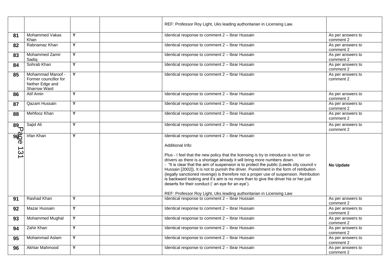|                            |                                                                               |                         | REF: Professor Roy Light, Uks leading authoritarian in Licensing Law.                                                                                                                                                                                                                                                                                                                                                                                                                                                                                                                                                                                                                                                                        |                                |
|----------------------------|-------------------------------------------------------------------------------|-------------------------|----------------------------------------------------------------------------------------------------------------------------------------------------------------------------------------------------------------------------------------------------------------------------------------------------------------------------------------------------------------------------------------------------------------------------------------------------------------------------------------------------------------------------------------------------------------------------------------------------------------------------------------------------------------------------------------------------------------------------------------------|--------------------------------|
| 81                         | Mohammed Vakas<br>Khan                                                        | Y                       | Identical response to comment 2 - Ibrar Hussain                                                                                                                                                                                                                                                                                                                                                                                                                                                                                                                                                                                                                                                                                              | As per answers to<br>comment 2 |
| 82                         | Rabnamaz Khan                                                                 | Y                       | Identical response to comment 2 - Ibrar Hussain                                                                                                                                                                                                                                                                                                                                                                                                                                                                                                                                                                                                                                                                                              | As per answers to<br>comment 2 |
| 83                         | Mohammed Zamir<br>Sadiq                                                       | Y                       | Identical response to comment 2 - Ibrar Hussain                                                                                                                                                                                                                                                                                                                                                                                                                                                                                                                                                                                                                                                                                              | As per answers to<br>comment 2 |
| 84                         | Sohrab Khan                                                                   | $\overline{Y}$          | Identical response to comment 2 - Ibrar Hussain                                                                                                                                                                                                                                                                                                                                                                                                                                                                                                                                                                                                                                                                                              | As per answers to<br>comment 2 |
| 85                         | Mohammad Maroof -<br>Former councillor for<br>Nether Edge and<br>Sharrow Ward | Y                       | Identical response to comment 2 - Ibrar Hussain                                                                                                                                                                                                                                                                                                                                                                                                                                                                                                                                                                                                                                                                                              | As per answers to<br>comment 2 |
| 86                         | Atif Amin                                                                     | Y                       | Identical response to comment 2 - Ibrar Hussain                                                                                                                                                                                                                                                                                                                                                                                                                                                                                                                                                                                                                                                                                              | As per answers to<br>comment 2 |
| 87                         | Qazam Hussain                                                                 | Y                       | Identical response to comment 2 - Ibrar Hussain                                                                                                                                                                                                                                                                                                                                                                                                                                                                                                                                                                                                                                                                                              | As per answers to<br>comment 2 |
| 88                         | Mehfooz Khan                                                                  | Y                       | Identical response to comment 2 - Ibrar Hussain                                                                                                                                                                                                                                                                                                                                                                                                                                                                                                                                                                                                                                                                                              | As per answers to<br>comment 2 |
| $\overline{89}$ ק          | Sajid Ali                                                                     | $\overline{Y}$          | Identical response to comment 2 - Ibrar Hussain                                                                                                                                                                                                                                                                                                                                                                                                                                                                                                                                                                                                                                                                                              | As per answers to<br>comment 2 |
| <b>ROG</b> 13 <sup>.</sup> | <b>Irfan Khan</b>                                                             | Y                       | Identical response to comment 2 - Ibrar Hussain<br>Additional Info:<br>Plus - I feel that the new policy that the licensing is try to introduce is not fair on<br>drivers as there is a shortage already it will bring more numbers down.<br>- "It is clear that the aim of suspension is to protect the public (Leeds city council v<br>Hussain [2002]). It is not to punish the driver. Punishment in the form of retribution<br>(legally sanctioned revenge) is therefore not a proper use of suspension. Retribution<br>is backward looking and it's aim is no more than to give the driver his or her just<br>deserts for their conduct (' an eye for an eye').<br>REF: Professor Roy Light, Uks leading authoritarian in Licensing Law | <b>No Update</b>               |
| 91                         | Rashad Khan                                                                   | Y                       | Identical response to comment 2 - Ibrar Hussain                                                                                                                                                                                                                                                                                                                                                                                                                                                                                                                                                                                                                                                                                              | As per answers to<br>comment 2 |
| 92                         | <b>Mazar Hussain</b>                                                          | Y                       | Identical response to comment 2 - Ibrar Hussain                                                                                                                                                                                                                                                                                                                                                                                                                                                                                                                                                                                                                                                                                              | As per answers to<br>comment 2 |
| 93                         | Mohammed Mughal                                                               | $\overline{\mathsf{Y}}$ | Identical response to comment 2 - Ibrar Hussain                                                                                                                                                                                                                                                                                                                                                                                                                                                                                                                                                                                                                                                                                              | As per answers to<br>comment 2 |
| 94                         | Zahir Khan                                                                    | Y                       | Identical response to comment 2 - Ibrar Hussain                                                                                                                                                                                                                                                                                                                                                                                                                                                                                                                                                                                                                                                                                              | As per answers to<br>comment 2 |
| 95                         | Mohammad Aslam                                                                | Y                       | Identical response to comment 2 - Ibrar Hussain                                                                                                                                                                                                                                                                                                                                                                                                                                                                                                                                                                                                                                                                                              | As per answers to<br>comment 2 |
| 96                         | <b>Akhtar Mahmood</b>                                                         | Y                       | Identical response to comment 2 - Ibrar Hussain                                                                                                                                                                                                                                                                                                                                                                                                                                                                                                                                                                                                                                                                                              | As per answers to<br>comment 2 |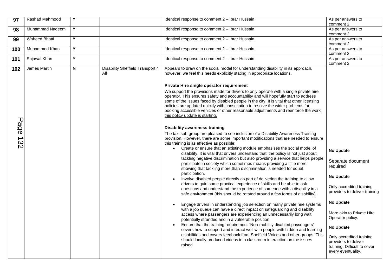| 97       | <b>Rashad Mahmood</b> | Y |                                                | Identical response to comment 2 - Ibrar Hussain                                                                                                                                                                                                                                                                                                                                                                                                                                                                                                                                                                                                                                                                                                                                                                                                                                                                                                                                                                                                                                                                                                                                                                                                                                                                                                                                                                                                                                                                                                                                                                                                                                                                                                                                                                                                                                                                                                                                                                                                                                                                                                                              | As per answers to<br>comment 2                                                                                                                                                                                                                                                                                  |
|----------|-----------------------|---|------------------------------------------------|------------------------------------------------------------------------------------------------------------------------------------------------------------------------------------------------------------------------------------------------------------------------------------------------------------------------------------------------------------------------------------------------------------------------------------------------------------------------------------------------------------------------------------------------------------------------------------------------------------------------------------------------------------------------------------------------------------------------------------------------------------------------------------------------------------------------------------------------------------------------------------------------------------------------------------------------------------------------------------------------------------------------------------------------------------------------------------------------------------------------------------------------------------------------------------------------------------------------------------------------------------------------------------------------------------------------------------------------------------------------------------------------------------------------------------------------------------------------------------------------------------------------------------------------------------------------------------------------------------------------------------------------------------------------------------------------------------------------------------------------------------------------------------------------------------------------------------------------------------------------------------------------------------------------------------------------------------------------------------------------------------------------------------------------------------------------------------------------------------------------------------------------------------------------------|-----------------------------------------------------------------------------------------------------------------------------------------------------------------------------------------------------------------------------------------------------------------------------------------------------------------|
| 98       | Muhammad Nadeem       | Y |                                                | Identical response to comment 2 - Ibrar Hussain                                                                                                                                                                                                                                                                                                                                                                                                                                                                                                                                                                                                                                                                                                                                                                                                                                                                                                                                                                                                                                                                                                                                                                                                                                                                                                                                                                                                                                                                                                                                                                                                                                                                                                                                                                                                                                                                                                                                                                                                                                                                                                                              | As per answers to<br>comment 2                                                                                                                                                                                                                                                                                  |
| 99       | <b>Waheed Bhatti</b>  | Y |                                                | Identical response to comment 2 - Ibrar Hussain                                                                                                                                                                                                                                                                                                                                                                                                                                                                                                                                                                                                                                                                                                                                                                                                                                                                                                                                                                                                                                                                                                                                                                                                                                                                                                                                                                                                                                                                                                                                                                                                                                                                                                                                                                                                                                                                                                                                                                                                                                                                                                                              | As per answers to<br>comment 2                                                                                                                                                                                                                                                                                  |
| 100      | Muhammed Khan         | Y |                                                | Identical response to comment 2 - Ibrar Hussain                                                                                                                                                                                                                                                                                                                                                                                                                                                                                                                                                                                                                                                                                                                                                                                                                                                                                                                                                                                                                                                                                                                                                                                                                                                                                                                                                                                                                                                                                                                                                                                                                                                                                                                                                                                                                                                                                                                                                                                                                                                                                                                              | As per answers to<br>comment 2                                                                                                                                                                                                                                                                                  |
| 101      | Sajawal Khan          | Y |                                                | Identical response to comment 2 - Ibrar Hussain                                                                                                                                                                                                                                                                                                                                                                                                                                                                                                                                                                                                                                                                                                                                                                                                                                                                                                                                                                                                                                                                                                                                                                                                                                                                                                                                                                                                                                                                                                                                                                                                                                                                                                                                                                                                                                                                                                                                                                                                                                                                                                                              | As per answers to<br>comment 2                                                                                                                                                                                                                                                                                  |
| 102      | James Martin          | N | <b>Disability Sheffield Transport 4</b><br>All | Appears to draw on the social model for understanding disability in its approach,<br>however, we feel this needs explicitly stating in appropriate locations.                                                                                                                                                                                                                                                                                                                                                                                                                                                                                                                                                                                                                                                                                                                                                                                                                                                                                                                                                                                                                                                                                                                                                                                                                                                                                                                                                                                                                                                                                                                                                                                                                                                                                                                                                                                                                                                                                                                                                                                                                |                                                                                                                                                                                                                                                                                                                 |
| Page 132 |                       |   |                                                | Private Hire single operator requirement<br>We support the provisions made for drivers to only operate with a single private hire<br>operator. This ensures safety and accountability and will hopefully start to address<br>some of the issues faced by disabled people in the city. It is vital that other licensing<br>policies are updated quickly with consultation to resolve the wider problems for<br>booking accessible vehicles or other reasonable adjustments and reenforce the work<br>this policy update is starting.<br><b>Disability awareness training</b><br>The taxi sub-group are pleased to see inclusion of a Disability Awareness Training<br>provision. However, there are some important modifications that are needed to ensure<br>this training is as effective as possible:<br>• Create or ensure that an existing module emphasises the social model of<br>disability. It is vital that drivers understand that ithe policy is not just about<br>tackling negative discrimination but also providing a service that helps people<br>participate in society which sometimes means providing a little more<br>showing that tackling more than discrimination is needed for equal<br>participation.<br>Involve disabled people directly as part of delivering the training to allow<br>drivers to gain some practical experience of skills and be able to ask<br>questions and understand the experience of someone with a disability in a<br>safe environment (this should be rotated around a few forms of disability).<br>Engage drivers in understanding job selection on many private hire systems<br>with a job queue can have a direct impact on safeguarding and disability<br>access where passengers are experiencing an unnecessarily long wait<br>potentially stranded and in a vulnerable position.<br>Ensure that the training requirement "Non-mobility disabled passengers"<br>covers how to support and interact well with people with hidden and learning<br>disabilities and covers feedback from Sheffield Voices and other groups. This<br>should locally produced videos in a classroom interaction on the issues<br>raised. | <b>No Update</b><br>Separate document<br>required<br><b>No Update</b><br>Only accredited training<br>providers to deliver training<br><b>No Update</b><br>More akin to Private Hire<br>Operator policy.<br><b>No Update</b><br>Only accredited training<br>providers to deliver<br>training. Difficult to cover |
|          |                       |   |                                                |                                                                                                                                                                                                                                                                                                                                                                                                                                                                                                                                                                                                                                                                                                                                                                                                                                                                                                                                                                                                                                                                                                                                                                                                                                                                                                                                                                                                                                                                                                                                                                                                                                                                                                                                                                                                                                                                                                                                                                                                                                                                                                                                                                              | every eventuality.                                                                                                                                                                                                                                                                                              |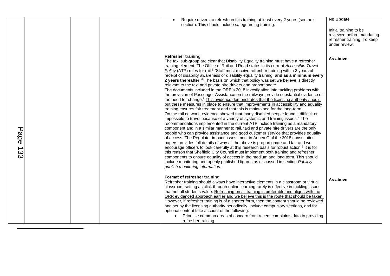<span id="page-12-0"></span>

|             |  | Require drivers to refresh on this training at least every 2 years (see next<br>section). This should include safeguarding training.                                                                                                                                                                                                                                                                                                                                                                                                                                                                                                                                                                                                                                                                                                                                                                                                                                                                                                                                                                                                                                                                                                                                                                                                                                                                                                                                                                                                                                                                                                                                                                                                                                                                                                                                                                                                                                                                                                                                                       | <b>No Update</b><br>Initial training to be<br>reviewed before mandating<br>refresher training. To keep<br>under review. |
|-------------|--|--------------------------------------------------------------------------------------------------------------------------------------------------------------------------------------------------------------------------------------------------------------------------------------------------------------------------------------------------------------------------------------------------------------------------------------------------------------------------------------------------------------------------------------------------------------------------------------------------------------------------------------------------------------------------------------------------------------------------------------------------------------------------------------------------------------------------------------------------------------------------------------------------------------------------------------------------------------------------------------------------------------------------------------------------------------------------------------------------------------------------------------------------------------------------------------------------------------------------------------------------------------------------------------------------------------------------------------------------------------------------------------------------------------------------------------------------------------------------------------------------------------------------------------------------------------------------------------------------------------------------------------------------------------------------------------------------------------------------------------------------------------------------------------------------------------------------------------------------------------------------------------------------------------------------------------------------------------------------------------------------------------------------------------------------------------------------------------------|-------------------------------------------------------------------------------------------------------------------------|
| Page<br>133 |  | <b>Refresher training</b><br>The taxi sub-group are clear that Disability Equality training must have a refresher<br>training element. The Office of Rail and Road states in its current Accessible Travel<br>Policy (ATP) rules for rail: <sup>1</sup> "Staff must receive refresher training within 2 years of<br>receipt of disability awareness or disability equality training, and as a minimum every<br>2 years thereafter." <sup>2</sup> The basis on which that policy was set we believe is directly<br>relevant to the taxi and private hire drivers and proportionate.<br>The documents included in the ORR's 2018 investigation into tackling problems with<br>the provision of Passenger Assistance on the railways provide substantial evidence of<br>the need for change. <sup>3</sup> This evidence demonstrates that the licensing authority should<br>put these measures in place to ensure that improvements in accessibility and equality<br>training ensures fair treatment and that this is maintained for the long-term.<br>On the rail network, evidence showed that many disabled people found it difficult or<br>impossible to travel because of a variety of systemic and training issues. <sup>4</sup> The<br>recommendations implemented in the current ATP include training as a mandatory<br>component and in a similar manner to rail, taxi and private hire drivers are the only<br>people who can provide assistance and good customer service that provides equality<br>of access. The Regulator impact assessment in Annex C of the 2018 consultation<br>papers provides full details of why all the above is proportionate and fair and we<br>encourage officers to look carefully at this research basis for robust action. <sup>5</sup> It is for<br>this reason that Sheffield City Council must implement both training and refresher<br>components to ensure equality of access in the medium and long term. This should<br>include monitoring and openly published figures as discussed in section Publicly<br>publish monitoring information. | As above.                                                                                                               |
|             |  | Format of refresher training<br>Refresher training should always have interactive elements in a classroom or virtual<br>classroom setting as click through online learning rarely is effective in tackling issues<br>that not all students value. Refreshing on all training is preferable and aligns with the<br>ORR evidenced approach earlier and we believe this is the route that should be taken.<br>However, if refresher training is of a shorter form, then the content should be reviewed<br>and set by the licensing authority periodically, include compulsory sections, and for<br>optional content take account of the following:<br>Prioritise common areas of concern from recent complaints data in providing<br>refresher training.                                                                                                                                                                                                                                                                                                                                                                                                                                                                                                                                                                                                                                                                                                                                                                                                                                                                                                                                                                                                                                                                                                                                                                                                                                                                                                                                      | As above                                                                                                                |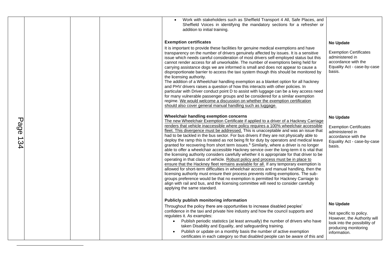<span id="page-13-0"></span>

| Page<br>134 |  | Work with stakeholders such as Sheffield Transport 4 All, Safe Places, and<br>Sheffield Voices in identifying the mandatory sections for a refresher or<br>addition to initial training.<br><b>Exemption certificates</b><br>It is important to provide these facilities for genuine medical exemptions and have<br>transparency on the number of drivers genuinely affected by issues. It is a sensitive<br>issue which needs careful consideration of most drivers self-employed status but this<br>cannot render access for all unworkable. The number of exemptions being held for<br>carrying assistance dogs we are informed is small and does not appear to cause a<br>disproportionate barrier to access the taxi system though this should be monitored by<br>the licensing authority.<br>The addition of a Wheelchair handling exemption as a blanket option for all hackney<br>and PHV drivers raises a question of how this interacts with other policies. In<br>particular with Driver conduct point D to assist with luggage can be a key access need<br>for many vulnerable passenger groups and be considered for a similar exemption<br>regime. We would welcome a discussion on whether the exemption certification<br>should also cover general manual handling such as luggage.<br>Wheelchair handling exemption concerns<br>The new Wheelchair Exemption Certificate if applied to a driver of a Hackney Carriage<br>renders that vehicle inaccessible where policy requires a 100% wheelchair accessible<br>fleet. This divergence must be addressed. This is unacceptable and was an issue that<br>had to be tackled in the bus sector. For bus drivers if they are not physically able to<br>deploy the ramp this is treated as not being fit for duty by operators and medical leave<br>granted for recovering from short term issues. <sup>6</sup> Similarly, where a driver is no longer<br>able to offer a wheelchair accessible Hackney service over the long-term it is vital that<br>the licensing authority considers carefully whether it is appropriate for that driver to be<br>operating in that class of vehicle. Robust policy and process must be in place to<br>ensure that the Hackney fleet remains available for all. If any temporary exemption is<br>allowed for short-term difficulties in wheelchair access and manual handling, then the<br>licensing authority must ensure their process prevents rolling exemptions. The sub-<br>groups preference would be that no exemption is permitted for Hackney Carriage to<br>align with rail and bus, and the licensing committee will need to consider carefully<br>applying the same standard. | <b>No Update</b><br><b>Exemption Certificates</b><br>administered in<br>accordance with the<br>Equality Act - case-by-case<br>basis.<br><b>No Update</b><br><b>Exemption Certificates</b><br>administered in<br>accordance with the<br>Equality Act - case-by-case<br>basis. |
|-------------|--|---------------------------------------------------------------------------------------------------------------------------------------------------------------------------------------------------------------------------------------------------------------------------------------------------------------------------------------------------------------------------------------------------------------------------------------------------------------------------------------------------------------------------------------------------------------------------------------------------------------------------------------------------------------------------------------------------------------------------------------------------------------------------------------------------------------------------------------------------------------------------------------------------------------------------------------------------------------------------------------------------------------------------------------------------------------------------------------------------------------------------------------------------------------------------------------------------------------------------------------------------------------------------------------------------------------------------------------------------------------------------------------------------------------------------------------------------------------------------------------------------------------------------------------------------------------------------------------------------------------------------------------------------------------------------------------------------------------------------------------------------------------------------------------------------------------------------------------------------------------------------------------------------------------------------------------------------------------------------------------------------------------------------------------------------------------------------------------------------------------------------------------------------------------------------------------------------------------------------------------------------------------------------------------------------------------------------------------------------------------------------------------------------------------------------------------------------------------------------------------------------------------------------------------------------------------------------------------------------------------------------------------------------------------------------------------------|------------------------------------------------------------------------------------------------------------------------------------------------------------------------------------------------------------------------------------------------------------------------------|
|             |  | Publicly publish monitoring information<br>Throughout the policy there are opportunities to increase disabled peoples'<br>confidence in the taxi and private hire industry and how the council supports and<br>regulates it. As examples:<br>Publish periodic statistics (at least annually) the number of drivers who have<br>taken Disability and Equality, and safeguarding training.<br>Publish or update on a monthly basis the number of active exemption<br>certificates in each category so that disabled people can be aware of this and                                                                                                                                                                                                                                                                                                                                                                                                                                                                                                                                                                                                                                                                                                                                                                                                                                                                                                                                                                                                                                                                                                                                                                                                                                                                                                                                                                                                                                                                                                                                                                                                                                                                                                                                                                                                                                                                                                                                                                                                                                                                                                                                           | <b>No Update</b><br>Not specific to policy.<br>However, the Authority will<br>look into the possibility of<br>producing monitoring<br>information.                                                                                                                           |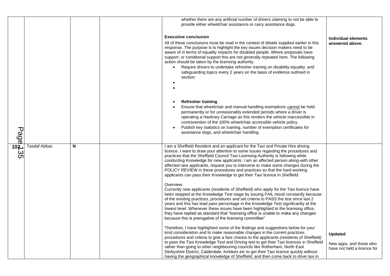|                        |                     |   | whether there are any artificial number of drivers claiming to not be able to<br>provide either wheelchair assistance or carry assistance dogs.                                                                                                                                                                                                                                                                                                                                                                                                                                                                           |                                                                          |
|------------------------|---------------------|---|---------------------------------------------------------------------------------------------------------------------------------------------------------------------------------------------------------------------------------------------------------------------------------------------------------------------------------------------------------------------------------------------------------------------------------------------------------------------------------------------------------------------------------------------------------------------------------------------------------------------------|--------------------------------------------------------------------------|
|                        |                     |   | <b>Executive conclusion</b><br>All of these conclusions must be read in the context of details supplied earlier in this<br>response. The purpose is to highlight the key issues decision makers need to be<br>aware of in terms of equality impacts for disabled people. Where proposals have<br>support, or conditional support this are not generally repeated here. The following<br>action should be taken by the licensing authority:<br>Require drivers to undertake refresher training on disability equality, and<br>safeguarding topics every 2 years on the basis of evidence outlined in<br>section:           | Individual elements<br>answered above.                                   |
| <b>Page</b>            |                     |   | <b>Refresher training.</b><br>Ensure that wheelchair and manual handling exemptions cannot be held<br>permanently or for unreasonably extended periods where a driver is<br>operating a Hackney Carriage as this renders the vehicle inaccessible in<br>contravention of the 100% wheelchair accessible vehicle policy.<br>Publish key statistics on training, number of exemption certificates for<br>assistance dogs, and wheelchair handling.                                                                                                                                                                          |                                                                          |
| 103 <sub>1</sub><br>35 | <b>Tasdaf Abbas</b> | N | I am a Sheffield Resident and an applicant for the Taxi and Private Hire driving<br>licence. I want to draw your attention to some issues regarding the procedures and<br>practices that the Sheffield Council Taxi Licensing Authority is following while<br>conducting Knowledge for new applicants. I am an affected person along-with other<br>affected new applicants, request you to intervene to make some changes during the<br>POLICY REVIEW in these procedures and practices so that the hard-working<br>applicants can pass their Knowledge to get their Taxi licence in Sheffield.                           |                                                                          |
|                        |                     |   | Overview:<br>Currently new applicants (residents of Sheffield) who apply for the Taxi licence have<br>been stopped at the Knowledge Test stage by issuing FAIL result constantly because<br>of the existing practices, procedures and set criteria to PASS the test since last 2<br>years and this has lead pass percentage in the Knowledge Test significantly at the<br>lowest level. Whenever these issues have been highlighted to the licensing office,<br>they have replied as standard that "licensing office is unable to make any changes<br>because this is prerogative of the licensing committee"             |                                                                          |
|                        |                     |   | Therefore, I have highlighted some of the findings and suggestions below for your<br>kind consideration and to make reasonable changes in the current practices,<br>procedures and criteria to give a fare chance to the applicants (residents of Sheffield)<br>to pass the Taxi Knowledge Test and Driving test to get their Taxi licences in Sheffield<br>rather than going to other neighbouring councils like Rotherham, North East<br>Derbyshire District, Calderdale, Kirklees etc to get their Taxi licence quickly without<br>having the geographical knowledge of Sheffield, and then come back to drive taxi in | <b>Updated</b><br>New apps, and those who<br>have not held a licence for |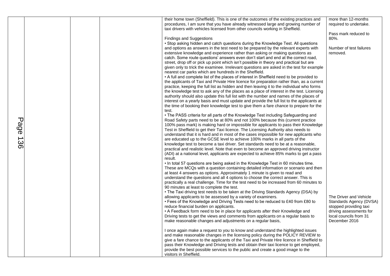|                       |  | their home town (Sheffield). This is one of the outcomes of the existing practices and<br>procedures, I am sure that you have already witnessed large and growing number of<br>taxi drivers with vehicles licensed from other councils working in Sheffield.                                                                                                                                                                                                                                                                                                                                                                                                                                                                                                                                                                                                                                                                                                                                                                                                                                                                                                                                                                                                                | more than 12-months<br>required to undertake.                                                          |
|-----------------------|--|-----------------------------------------------------------------------------------------------------------------------------------------------------------------------------------------------------------------------------------------------------------------------------------------------------------------------------------------------------------------------------------------------------------------------------------------------------------------------------------------------------------------------------------------------------------------------------------------------------------------------------------------------------------------------------------------------------------------------------------------------------------------------------------------------------------------------------------------------------------------------------------------------------------------------------------------------------------------------------------------------------------------------------------------------------------------------------------------------------------------------------------------------------------------------------------------------------------------------------------------------------------------------------|--------------------------------------------------------------------------------------------------------|
|                       |  | Findings and Suggestions                                                                                                                                                                                                                                                                                                                                                                                                                                                                                                                                                                                                                                                                                                                                                                                                                                                                                                                                                                                                                                                                                                                                                                                                                                                    | Pass mark reduced to<br>80%.                                                                           |
|                       |  | • Stop asking hidden and catch questions during the Knowledge Test. All questions<br>and options as answers in the test need to be prepared by the relevant experts with<br>extensive knowledge and experience rather than asking or making questions as<br>catch. Some route questions' answers even don't start and end at the correct road,<br>street, drop off or pick up point which isn't possible in theory and practical but are<br>given only to trick the examinee. Irrelevant questions are asked in the test for example<br>nearest car parks which are hundreds in the Sheffield.<br>• A full and complete list of the places of interest in Sheffield need to be provided to<br>the applicants of Taxi and Private Hire licence for preparation rather than, as a current<br>practice, keeping the full list as hidden and then leaving it to the individual who forms<br>the knowledge test to ask any of the places as a place of interest in the test. Licensing<br>authority should also update this full list with the number and names of the places of<br>interest on a yearly basis and must update and provide the full list to the applicants at<br>the time of booking their knowledge test to give them a fare chance to prepare for the<br>test. | Number of test failures<br>removed.                                                                    |
| Page<br>$\rightarrow$ |  | • The PASS criteria for all parts of the Knowledge Test including Safeguarding and<br>Road Safety parts need to be at 80% and not 100% because this (current practice<br>100% pass mark) is making hard or impossible for applicants to pass their Knowledge<br>Test in Sheffield to get their Taxi licence. The Licensing Authority also needs to<br>understand that it is hard and in most of the cases impossible for new applicants who<br>are educated up to the GCSE level to achieve 100% marks in all parts of the                                                                                                                                                                                                                                                                                                                                                                                                                                                                                                                                                                                                                                                                                                                                                  |                                                                                                        |
| ပ္တ                   |  | knowledge test to become a taxi driver. Set standards need to be at a reasonable,<br>practical and realistic level. Note that even to become an approved driving instructor<br>(ADI) at a national level, applicants are expected to achieve 85% marks to get a pass<br>result.<br>. In total 57 questions are being asked in the Knowledge Test in 60 minutes time.                                                                                                                                                                                                                                                                                                                                                                                                                                                                                                                                                                                                                                                                                                                                                                                                                                                                                                        |                                                                                                        |
|                       |  | These are MCQs with a question containing detailed information or scenario and then<br>at least 4 answers as options. Approximately 1 minute is given to read and<br>understand the questions and all 4 options to choose the correct answer. This is                                                                                                                                                                                                                                                                                                                                                                                                                                                                                                                                                                                                                                                                                                                                                                                                                                                                                                                                                                                                                       |                                                                                                        |
|                       |  | practically a real challenge. Time for the test need to be increased from 60 minutes to<br>90 minutes at least to complete the test.<br>• The Taxi driving test needs to be taken at the Driving Standards Agency (DSA) by                                                                                                                                                                                                                                                                                                                                                                                                                                                                                                                                                                                                                                                                                                                                                                                                                                                                                                                                                                                                                                                  |                                                                                                        |
|                       |  | allowing applicants to be assessed by a variety of examiners.<br>• Fees of the Knowledge and Driving Tests need to be reduced to £40 from £80 to<br>reduce financial burden on applicants.<br>• A Feedback form need to be in place for applicants after their Knowledge and                                                                                                                                                                                                                                                                                                                                                                                                                                                                                                                                                                                                                                                                                                                                                                                                                                                                                                                                                                                                | The Driver and Vehicle<br>Standards Agency (DVSA)<br>stopped providing taxi<br>driving assessments for |
|                       |  | Driving tests to get the views and comments from applicants on a regular basis to<br>make reasonable changes and adjustments on a regular basis,                                                                                                                                                                                                                                                                                                                                                                                                                                                                                                                                                                                                                                                                                                                                                                                                                                                                                                                                                                                                                                                                                                                            | local councils from 31<br>December 2016                                                                |
|                       |  | I once again make a request to you to know and understand the highlighted issues<br>and make reasonable changes in the licensing policy during the POLICY REVIEW to<br>give a fare chance to the applicants of the Taxi and Private Hire licence in Sheffield to<br>pass their Knowledge and Driving tests and obtain their taxi licence to get employed,                                                                                                                                                                                                                                                                                                                                                                                                                                                                                                                                                                                                                                                                                                                                                                                                                                                                                                                   |                                                                                                        |
|                       |  | provide the best possible services to the public and create a good image to the<br>visitors in Sheffield.                                                                                                                                                                                                                                                                                                                                                                                                                                                                                                                                                                                                                                                                                                                                                                                                                                                                                                                                                                                                                                                                                                                                                                   |                                                                                                        |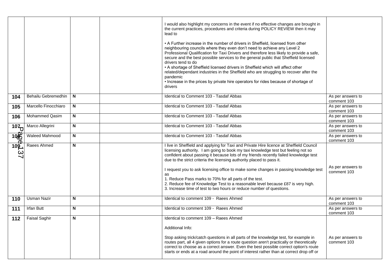|                                  |                       |              | lead to<br>pandemic<br>drivers | I would also highlight my concerns in the event if no effective changes are brought in<br>the current practices, procedures and criteria during POLICY REVIEW then it may<br>• A Further increase in the number of drivers in Sheffield, licensed from other<br>neighbouring councils where they even don't need to achieve any Level 2<br>Professional Qualification for Taxi Drivers and therefore less likely to provide a safe,<br>secure and the best possible services to the general public that Sheffield licensed<br>drivers tend to do<br>• A shortage of Sheffield licensed drivers in Sheffield which will affect other<br>related/dependant industries in the Sheffield who are struggling to recover after the<br>• Increase in the prices by private hire operators for rides because of shortage of |                                  |
|----------------------------------|-----------------------|--------------|--------------------------------|---------------------------------------------------------------------------------------------------------------------------------------------------------------------------------------------------------------------------------------------------------------------------------------------------------------------------------------------------------------------------------------------------------------------------------------------------------------------------------------------------------------------------------------------------------------------------------------------------------------------------------------------------------------------------------------------------------------------------------------------------------------------------------------------------------------------|----------------------------------|
| 104                              | Behailu Gebremedhin   | N            |                                | Identical to Comment 103 - Tasdaf Abbas                                                                                                                                                                                                                                                                                                                                                                                                                                                                                                                                                                                                                                                                                                                                                                             | As per answers to<br>comment 103 |
| 105                              | Marcello Finocchiaro  | $\mathbf N$  |                                | Identical to Comment 103 - Tasdaf Abbas                                                                                                                                                                                                                                                                                                                                                                                                                                                                                                                                                                                                                                                                                                                                                                             | As per answers to<br>comment 103 |
| 106                              | <b>Mohammed Qasim</b> | N            |                                | Identical to Comment 103 - Tasdaf Abbas                                                                                                                                                                                                                                                                                                                                                                                                                                                                                                                                                                                                                                                                                                                                                                             | As per answers to<br>comment 103 |
| 107                              | Marco Allegrini       | $\mathbf N$  |                                | Identical to Comment 103 - Tasdaf Abbas                                                                                                                                                                                                                                                                                                                                                                                                                                                                                                                                                                                                                                                                                                                                                                             | As per answers to<br>comment 103 |
| 108                              | <b>Waleed Mahmood</b> | $\mathsf{N}$ |                                | Identical to Comment 103 - Tasdaf Abbas                                                                                                                                                                                                                                                                                                                                                                                                                                                                                                                                                                                                                                                                                                                                                                             | As per answers to<br>comment 103 |
| $109$ $\overline{)}$<br>$\omega$ | Raees Ahmed           | N            | as                             | I live in Sheffield and applying for Taxi and Private Hire licence at Sheffield Council<br>licensing authority. I am going to book my taxi knowledge test but feeling not so<br>confident about passing it because lots of my friends recently failed knowledge test<br>due to the strict criteria the licensing authority placed to pass it.<br>I request you to ask licensing office to make some changes in passing knowledge test<br>1. Reduce Pass marks to 70% for all parts of the test.<br>2. Reduce fee of Knowledge Test to a reasonable level because £87 is very high.<br>3. Increase time of test to two hours or reduce number of questions.                                                                                                                                                          | As per answers to<br>comment 103 |
| 110                              | <b>Usman Nazir</b>    | N            |                                | Identical to comment 109 - Raees Ahmed                                                                                                                                                                                                                                                                                                                                                                                                                                                                                                                                                                                                                                                                                                                                                                              | As per answers to<br>comment 103 |
| 111                              | <b>Irfan Butt</b>     | N            |                                | Identical to comment 109 - Raees Ahmed                                                                                                                                                                                                                                                                                                                                                                                                                                                                                                                                                                                                                                                                                                                                                                              | As per answers to<br>comment 103 |
| 112                              | <b>Faisal Saghir</b>  | N            |                                | Identical to comment 109 - Raees Ahmed<br>Additional Info:<br>Stop asking trick/catch questions in all parts of the knowledge test, for example in<br>routes part, all 4 given options for a route question aren't practically or theoretically<br>correct to choose as a correct answer. Even the best possible correct option's route<br>starts or ends at a road around the point of interest rather than at correct drop off or                                                                                                                                                                                                                                                                                                                                                                                 | As per answers to<br>comment 103 |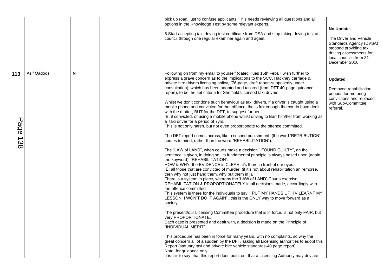|                    |             |   | pick up road, just to confuse applicants. This needs reviewing all questions and all<br>options in the Knowledge Test by some relevant experts.<br>5. Start accepting taxi driving test certificate from DSA and stop taking driving test at<br>council through one regular examiner again and again.                                                                                                                                                                                                                                                                                                                                                                                                                                                                                                                                                                                                                                                                                                                                                                                                                                                                                                                                                                                                                                                                                                                                                                                                                                                                                                                                                                                                                                                                                                                                                                                                                                                                                                                                                                                                                                                                                                                                                                                                                                                                                                                        | No Update<br>The Driver and Vehicle<br>Standards Agency (DVSA)<br>stopped providing taxi<br>driving assessments for<br>local councils from 31<br>December 2016 |
|--------------------|-------------|---|------------------------------------------------------------------------------------------------------------------------------------------------------------------------------------------------------------------------------------------------------------------------------------------------------------------------------------------------------------------------------------------------------------------------------------------------------------------------------------------------------------------------------------------------------------------------------------------------------------------------------------------------------------------------------------------------------------------------------------------------------------------------------------------------------------------------------------------------------------------------------------------------------------------------------------------------------------------------------------------------------------------------------------------------------------------------------------------------------------------------------------------------------------------------------------------------------------------------------------------------------------------------------------------------------------------------------------------------------------------------------------------------------------------------------------------------------------------------------------------------------------------------------------------------------------------------------------------------------------------------------------------------------------------------------------------------------------------------------------------------------------------------------------------------------------------------------------------------------------------------------------------------------------------------------------------------------------------------------------------------------------------------------------------------------------------------------------------------------------------------------------------------------------------------------------------------------------------------------------------------------------------------------------------------------------------------------------------------------------------------------------------------------------------------------|----------------------------------------------------------------------------------------------------------------------------------------------------------------|
| 113<br>Page<br>138 | Asif Qadoos | N | Following on from my email to yourself (dated Tues 15th Feb), I wish further to<br>express a grave concern as to the implications to the SCC, Hackney carriage &<br>private hire drivers licensing policy, (76-page, draft report-supposedly under<br>consultation), which has been adopted and tailored (from DFT 40-page guidance<br>report), to be the set criteria for Sheffield Licensed taxi drivers.<br>Whilst we don't condone such behaviour as taxi drivers, if a driver is caught using a<br>mobile phone and convicted for that offence, that's fair enough the courts have dealt<br>with the matter, BUT for the DFT, to suggest further,<br>IE: if convicted, of using a mobile phone whilst driving to Barr him/her from working as<br>a taxi driver for a period of 7yrs.<br>This is not only harsh, but not even proportionate to the offence committed.<br>The DFT report comes across, like a second punishment, (the word 'RETRIBUTION'<br>comes to mind, rather than the word "REHABILITATION").<br>The "LAW of LAND", when courts make a decision " FOUND GUILTY", an the<br>sentence is given, in doing so, its fundamental principle is always based upon (again<br>the keyword), 'REHABILITATION'.<br>HOW & WHY, the EVIDENCE is CLEAR, it's there in front of our eyes.<br>IE: all those that are convicted of murder, (if it's not about rehabilitation an remorse,<br>then why not just hang them, why put them in jail.<br>There is a system in place, whereby the 'LAW of LAND'-Courts exercise<br>REHABILITATION & PROPORTIONATELY in all decisions made, accordingly with<br>the offence committed.<br>This system is there for the individuals to say 'I PUT MY HANDS UP, I'V LEARNT MY<br>LESSON, I WON'T DO IT AGAIN', this is the ONLY way to move forward as a<br>society.<br>The present/our Licensing Committee procedure that is in force, is not only FAIR, but<br>very PROPORTIONATE.<br>Each case is presented and dealt with, a decision is made on the Principle of<br>"INDIVIDUAL MERIT".<br>This procedure has been in force for many years, with no complaints, so why the<br>great concern all of a sudden by the DFT, asking all Licensing authorities to adopt this<br>Report (statuary taxi and private hire vehicle standards-40 page report).<br>Note: for guidance only.<br>It is fair to say, that this report does point out that a Licensing Authority may deviate | <b>Updated</b><br>Removed rehabilitation<br>periods for motoring<br>convictions and replaced<br>with Sub-Committee<br>referral.                                |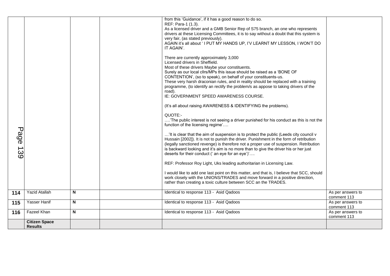| Page<br>439 |                                        |   | from this 'Guidance', if it has a good reason to do so.<br>REF: Para-1 (1.3).<br>As a licensed driver and a GMB Senior Rep of S75 branch, an one who represents<br>drivers at these Licensing Committees, it is to say without a doubt that this system is<br>very fair, (as stated previously).<br>AGAIN it's all about ' I PUT MY HANDS UP, I'V LEARNT MY LESSON, I WON'T DO<br>IT AGAIN'.<br>There are currently approximately 3,000<br>Licensed drivers in Sheffield.<br>Most of these drivers Maybe your constituents.<br>Surely as our local cllrs/MPs this issue should be raised as a 'BONE OF<br>CONTENTION', (so to speak), on behalf of your constituents-us.<br>These very harsh draconian rules, and in reality should be replaced with a training<br>programme, (to identify an rectify the problem/s as appose to taking drivers of the<br>road).<br>IE: GOVERNMENT SPEED AWARENESS COURSE.<br>(It's all about raising AWARENESS & IDENTIFYING the problems).<br>QUOTE:-<br>'The public interest is not seeing a driver punished for his conduct as this is not the<br>function of the licensing regime'<br>'It is clear that the aim of suspension is to protect the public (Leeds city council v<br>Hussain [2002]). It is not to punish the driver. Punishment in the form of retribution<br>(legally sanctioned revenge) is therefore not a proper use of suspension. Retribution<br>is backward looking and it's aim is no more than to give the driver his or her just<br>deserts for their conduct (' an eye for an eye')'<br>REF: Professor Roy Light, Uks leading authoritarian in Licensing Law.<br>I would like to add one last point on this matter, and that is, I believe that SCC, should<br>work closely with the UNIONS/TRADES and move forward in a positive direction,<br>rather than creating a toxic culture between SCC an the TRADES. |                                  |
|-------------|----------------------------------------|---|-----------------------------------------------------------------------------------------------------------------------------------------------------------------------------------------------------------------------------------------------------------------------------------------------------------------------------------------------------------------------------------------------------------------------------------------------------------------------------------------------------------------------------------------------------------------------------------------------------------------------------------------------------------------------------------------------------------------------------------------------------------------------------------------------------------------------------------------------------------------------------------------------------------------------------------------------------------------------------------------------------------------------------------------------------------------------------------------------------------------------------------------------------------------------------------------------------------------------------------------------------------------------------------------------------------------------------------------------------------------------------------------------------------------------------------------------------------------------------------------------------------------------------------------------------------------------------------------------------------------------------------------------------------------------------------------------------------------------------------------------------------------------------------------------------------------------------------------------------------------------------|----------------------------------|
| 114         | <b>Yazid Atallah</b>                   | N | Identical to response 113 - Asid Qadoos                                                                                                                                                                                                                                                                                                                                                                                                                                                                                                                                                                                                                                                                                                                                                                                                                                                                                                                                                                                                                                                                                                                                                                                                                                                                                                                                                                                                                                                                                                                                                                                                                                                                                                                                                                                                                                     | As per answers to<br>comment 113 |
| 115         | Yasser Hanif                           | N | Identical to response 113 - Asid Qadoos                                                                                                                                                                                                                                                                                                                                                                                                                                                                                                                                                                                                                                                                                                                                                                                                                                                                                                                                                                                                                                                                                                                                                                                                                                                                                                                                                                                                                                                                                                                                                                                                                                                                                                                                                                                                                                     | As per answers to<br>comment 113 |
| 116         | Fazeel Khan                            | N | Identical to response 113 - Asid Qadoos                                                                                                                                                                                                                                                                                                                                                                                                                                                                                                                                                                                                                                                                                                                                                                                                                                                                                                                                                                                                                                                                                                                                                                                                                                                                                                                                                                                                                                                                                                                                                                                                                                                                                                                                                                                                                                     | As per answers to<br>comment 113 |
|             | <b>Citizen Space</b><br><b>Results</b> |   |                                                                                                                                                                                                                                                                                                                                                                                                                                                                                                                                                                                                                                                                                                                                                                                                                                                                                                                                                                                                                                                                                                                                                                                                                                                                                                                                                                                                                                                                                                                                                                                                                                                                                                                                                                                                                                                                             |                                  |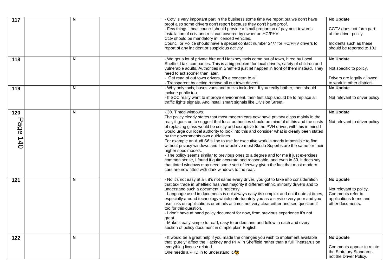| 117              | N | - Cctv is very important part in the business some time we report but we don't have<br>proof also some drivers don't report because they don't have proof.<br>- Few things Local council should provide a small proportion of payment towards<br>installation of cctv and rest can covered by owner on HC/PHV.<br>Cctv should be mandatory in licenced vehicles.<br>Council or Police should have a special contact number 24/7 for HC/PHV drivers to                                                                                                                                                                                                                                                                                                                                                                                                                                                                                            | <b>No Update</b><br>CCTV does not form part<br>of the driver policy<br>Incidents such as these                 |
|------------------|---|--------------------------------------------------------------------------------------------------------------------------------------------------------------------------------------------------------------------------------------------------------------------------------------------------------------------------------------------------------------------------------------------------------------------------------------------------------------------------------------------------------------------------------------------------------------------------------------------------------------------------------------------------------------------------------------------------------------------------------------------------------------------------------------------------------------------------------------------------------------------------------------------------------------------------------------------------|----------------------------------------------------------------------------------------------------------------|
|                  |   | report of any incident or suspicious activity                                                                                                                                                                                                                                                                                                                                                                                                                                                                                                                                                                                                                                                                                                                                                                                                                                                                                                    | should be reported to 101                                                                                      |
| 118              | N | - We got a lot of private hire and Hackney taxis come out of town, hired by Local<br>Sheffield taxi companies. This is a big problem for local drivers, safety of children and<br>vulnerable adults. Authorities in Sheffield just let happen in front of them instead. They<br>need to act sooner than later.<br>- Get read of out town drivers, it's a concern to all.                                                                                                                                                                                                                                                                                                                                                                                                                                                                                                                                                                         | <b>No Update</b><br>Not specific to policy.<br>Drivers are legally allowed                                     |
|                  |   | - Transparent by acting remove all out town drivers.                                                                                                                                                                                                                                                                                                                                                                                                                                                                                                                                                                                                                                                                                                                                                                                                                                                                                             | to work in other districts.                                                                                    |
| 119              | N | - Why only taxis, buses vans and trucks included. If you really bother, then should                                                                                                                                                                                                                                                                                                                                                                                                                                                                                                                                                                                                                                                                                                                                                                                                                                                              | <b>No Update</b>                                                                                               |
|                  |   | include public too.<br>- If SCC really want to improve environment, then first stop should be to replace all<br>traffic lights signals. And install smart signals like Division Street.                                                                                                                                                                                                                                                                                                                                                                                                                                                                                                                                                                                                                                                                                                                                                          | Not relevant to driver policy                                                                                  |
| 120              | N | - 30. Tinted windows.                                                                                                                                                                                                                                                                                                                                                                                                                                                                                                                                                                                                                                                                                                                                                                                                                                                                                                                            | <b>No Update</b>                                                                                               |
| ᠊ᠣ<br>age<br>140 |   | The policy clearly states that most modern cars now have privacy glass mainly in the<br>rear, it goes on to suggest that local authorities should be mindful of this and the costs<br>of replacing glass would be costly and disruptive to the PVH driver, with this in mind I<br>would urge our local authority to look into this and consider what is clearly been stated<br>by the governments own guidelines.<br>For example an Audi S6 s line to use for executive work is nearly impossible to find<br>without privacy windows and I now believe most Skoda Superbs are the same for their<br>higher spec models.<br>- The policy seems similar to previous ones to a degree and for me it just exercises<br>common sense, I found it quite accurate and reasonable, and even in 30. It does say<br>that tinted windows may need some sort of leeway given the fact that most modern<br>cars are now fitted with dark windows to the rear. | Not relevant to driver policy                                                                                  |
| 121              | N | - No it's not easy at all, it's not same every driver, you got to take into consideration<br>that taxi trade in Sheffield has vast majority if different ethnic minority drivers and to<br>understand such a document is not easy.<br>- Language used in documents is not always easy its complex and out if date at times,<br>especially around technology which unfortunately you as a service very poor and you<br>use links on applications or emails at times not very clear either and see question 2<br>too for this question.<br>- I don't have at hand policy document for now, from previous experience it's not<br>great.<br>- Make it easy simple to read, easy to understand and follow in each and every<br>section of policy document in dimple plain English.                                                                                                                                                                    | <b>No Update</b><br>Not relevant to policy.<br>Comments refer to<br>applications forms and<br>other documents. |
| 122              | N | - It would be a great help if you made the changes you wish to implement available<br>that "purely" affect the Hackney and PHV in Sheffield rather than a full Theasarus on<br>everything license related.<br>One needs a PHD in to understand it. $\bigodot$                                                                                                                                                                                                                                                                                                                                                                                                                                                                                                                                                                                                                                                                                    | <b>No Update</b><br>Comments appear to relate<br>the Statutory Standards,<br>not the Driver Policy.            |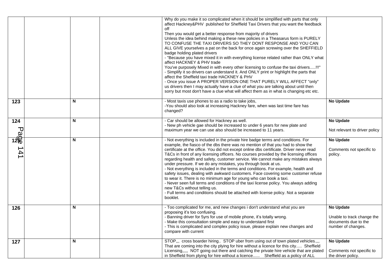|                        |   | Why do you make it so complicated when it should be simplified with parts that only<br>affect Hackney&PHV published for Sheffield Taxi Drivers that you want the feedback<br>off<br>Then you would get a better response from majority of drivers<br>Unless the idea behind making a these new policies in a Theasarus form is PURELY<br>TO CONFUSE THE TAXI DRIVERS SO THEY DONT RESPONSE AND YOU CAN<br>ALL GIVE yourselves a pat on the back for once again screwing over the SHEFFIELD<br>badge holding plated drivers<br>- "Because you have mixed it in with everything license related rather than ONLY what<br>affect HACKNEY & PHV trade<br>You've purposely Mixed in with every other licensing to confuse the taxi drivers!!!"<br>- Simplify it so drivers can understand it. And ONLY print or highlight the parts that<br>affect the Sheffield taxi trade HACKNEY & PHV<br>- Once you issue A PROPER VERSION ONE THAT PURELY WILL AFFECT "only"<br>us drivers then I may actually have a clue of what you are talking about until then<br>sorry but most don't have a clue what will affect them as in what is changing etc etc. |                                                                                       |
|------------------------|---|-----------------------------------------------------------------------------------------------------------------------------------------------------------------------------------------------------------------------------------------------------------------------------------------------------------------------------------------------------------------------------------------------------------------------------------------------------------------------------------------------------------------------------------------------------------------------------------------------------------------------------------------------------------------------------------------------------------------------------------------------------------------------------------------------------------------------------------------------------------------------------------------------------------------------------------------------------------------------------------------------------------------------------------------------------------------------------------------------------------------------------------------------|---------------------------------------------------------------------------------------|
| 123                    | N | - Most taxis use phones to as a radio to take jobs,<br>-You should also look at increasing Hackney fare, when was last time fare has<br>changed?                                                                                                                                                                                                                                                                                                                                                                                                                                                                                                                                                                                                                                                                                                                                                                                                                                                                                                                                                                                              | <b>No Update</b>                                                                      |
| 124<br>$\frac{1}{128}$ | N | - Car should be allowed for Hackney as well.<br>- New ph vehicle gae should be increased to under 6 years for new plate and<br>maximum year we can use also should be increased to 11 years.                                                                                                                                                                                                                                                                                                                                                                                                                                                                                                                                                                                                                                                                                                                                                                                                                                                                                                                                                  | <b>No Update</b><br>Not relevant to driver policy                                     |
| 141                    | N | - Not everything is included in the private hire badge terms and conditions. For<br>example, the fiasco of the dbs there was no mention of that you had to show the<br>certificate at the office. You did not except online dbs certificate. Driver never read<br>T&Cs in front of any licensing officers. No courses provided by the licensing offices<br>regarding health and safety, customer service. We cannot make any mistakes always<br>under pressure. If we do any mistakes, you through book at us.<br>- Not everything is included in the terms and conditions. For example, health and<br>safety issues, dealing with awkward customers. Face covering some customer refuse<br>to wear it. There is no minimum age for young who can book a taxi.<br>- Never seen full terms and conditions of the taxi license policy. You always adding<br>new T&Cs without telling us.<br>- Full terms and conditions should be attached with license policy. Not a separate<br>booklet.                                                                                                                                                      | <b>No Update</b><br>Comments not specific to<br>policy.                               |
| 126                    | N | - Too complicated for me, and new changes i don't understand what you are<br>proposing it's too confusing.<br>- Banning driver for 5yrs for use of mobile phone, it's totally wrong.<br>- Make this consultation simple and easy to understand first<br>- This is complicated and complex policy issue, please explain new changes and<br>compare with current                                                                                                                                                                                                                                                                                                                                                                                                                                                                                                                                                                                                                                                                                                                                                                                | No Update<br>Unable to track change the<br>documents due to the<br>number of changes. |
| 127                    | N | STOP,,, cross boarder hiring STOP uber from using out of town plated vehicles.,,,<br>That are coming into the city plying for hire without a licence for this city Sheffield<br>Licensing,,,,, NOT going out there and catching the private hire vehicle that are plated<br>in Sheffield from plying for hire without a licence Sheffield as a policy of ALL                                                                                                                                                                                                                                                                                                                                                                                                                                                                                                                                                                                                                                                                                                                                                                                  | <b>No Update</b><br>Comments not specific to<br>the driver policy.                    |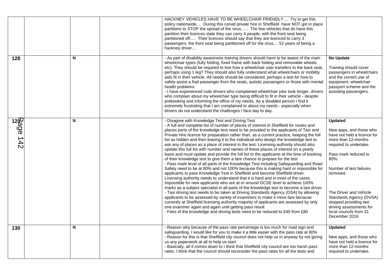|                           |   | HACKNEY VEHICLES HAVE TO BE WHEELCHAIR FRIENDLY Try to get this<br>policy nationwide During this corvid private hire in Sheffield have NOT got in place<br>partitions to STOP the spread of the virus The few vehicles that do have this<br>partition their licences state they can carry 4 people, with the front seat being<br>partitioned off Their licences should say that they are licenced to carry 3<br>passengers, the front seat being partitioned off for the virus 52 years of being a<br>hackney driver                                                                                                                                                                                                                                                                                                                                                                                                                                                                                                                                                                                                                                                                                                                                                                                                                                                                                                                                                                                                                                                                                                                                                                                                           |                                                                                                                                                                                                                                                                                                                                                       |
|---------------------------|---|--------------------------------------------------------------------------------------------------------------------------------------------------------------------------------------------------------------------------------------------------------------------------------------------------------------------------------------------------------------------------------------------------------------------------------------------------------------------------------------------------------------------------------------------------------------------------------------------------------------------------------------------------------------------------------------------------------------------------------------------------------------------------------------------------------------------------------------------------------------------------------------------------------------------------------------------------------------------------------------------------------------------------------------------------------------------------------------------------------------------------------------------------------------------------------------------------------------------------------------------------------------------------------------------------------------------------------------------------------------------------------------------------------------------------------------------------------------------------------------------------------------------------------------------------------------------------------------------------------------------------------------------------------------------------------------------------------------------------------|-------------------------------------------------------------------------------------------------------------------------------------------------------------------------------------------------------------------------------------------------------------------------------------------------------------------------------------------------------|
| 128                       | N | - As part of disability awareness training drivers should have to be aware of the main<br>wheelchair types (fully folding, fixed frame with back folding and removable wheels<br>etc). They should be required to test how a wheelchair user transfers to the back seat,<br>perhaps using 1 leg? They should also fully understand what wheelchairs or mobility<br>aids fit in their vehicle. All needs should be considered, perhaps a test for how to<br>safely assist a frail passenger from the seats, autistic passengers or those with mental<br>health problems.<br>- I have experienced rude drivers who complained wheelchair jobs took longer, drivers<br>who complain about my wheelchair type being difficult to fit in their vehicle - despite<br>prebooking and informing the office of my needs. As a disabled person I find it<br>extremely frustrating that I am complained to about my needs - especially when<br>drivers do not understand the challenges I face day to day.                                                                                                                                                                                                                                                                                                                                                                                                                                                                                                                                                                                                                                                                                                                                | <b>No Update</b><br>Training should cover<br>passengers in wheelchairs<br>and the correct use of<br>equipment, wheelchair<br>passport scheme and the<br>assisting passengers.                                                                                                                                                                         |
| $\frac{12}{12}$<br>$-142$ | N | - Disagree with Knowledge Test and Driving Test<br>- A full and complete list of number of places of interest in Sheffield for routes and<br>places parts of the knowledge test need to be provided to the applicants of Taxi and<br>Private Hire licence for preparation rather than, as a current practice, keeping the full<br>list as hidden and then leaving it to the individual who design the knowledge test to<br>ask any of places as a place of interest in the test. Licensing authority should also<br>update this full list with number and names of these places of interest on a yearly<br>basis and must update and provide the full list to the applicants at the time of booking<br>of their knowledge test to give them a fare chance to prepare for the test<br>- Pass mark level of all parts of the Knowledge Test including Safeguarding and Road<br>Safety need to be at 80% and not 100% because this is making hard or impossible for<br>applicants to pass Knowledge Test in Sheffield and become Sheffield driver.<br>Licensing authority needs to understand that it is hard and in most of the cases<br>impossible for new applicants who are at or around GCSE level to achieve 100%<br>marks as a subject specialist in all parts of the knowledge test to become a taxi driver.<br>- Taxi driving test needs to be taken at Driving Standards Agency (DSA) by allowing<br>applicants to be assessed by variety of examiners to make it more fare because<br>currently at Sheffield licensing authority majority of applicants are assessed by only<br>one examiner again and again until getting pass result<br>- Fees of the knowledge and driving tests need to be reduced to £40 from £80 | <b>Updated</b><br>New apps, and those who<br>have not held a licence for<br>more than 12-months<br>required to undertake.<br>Pass mark reduced to<br>80%.<br>Number of test failures<br>removed.<br>The Driver and Vehicle<br>Standards Agency (DVSA)<br>stopped providing taxi<br>driving assessments for<br>local councils from 31<br>December 2016 |
| 130                       | N | - Reason why because of the pass rate percentage is too much for road sign and<br>safeguarding. I would like for you to make it a little easier with the pass rate at 80%<br>- Reason for this is that Sheffield city council does not help us in anyway by not giving<br>us any paperwork at all to help us start<br>- Basically, all it comes down to I think that Sheffield city council are too harsh pass<br>rates. I think that the council should reconsider the pass rates for all the tests and                                                                                                                                                                                                                                                                                                                                                                                                                                                                                                                                                                                                                                                                                                                                                                                                                                                                                                                                                                                                                                                                                                                                                                                                                       | <b>Updated</b><br>New apps, and those who<br>have not held a licence for<br>more than 12-months<br>required to undertake.                                                                                                                                                                                                                             |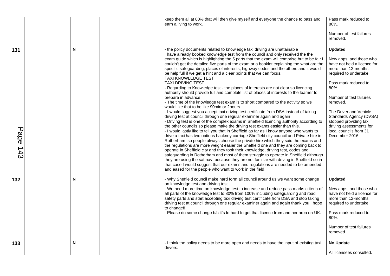|                 |   | keep them all at 80% that will then give myself and everyone the chance to pass and<br>earn a living to work.                                                                                                                                                                                                                                                                                                                                                                                                                                                                                                                                                                                                                                                                                                                                                                                                                                                                                                                                                                                                                                                                                                                                                                                                                                                                                                                                                                                                                                                                                                                                                                                                                                                                                                                                                                                                                                                                                                                                                      | Pass mark reduced to<br>80%.<br>Number of test failures<br>removed.                                                                                                                                                                                                                                                                                   |
|-----------------|---|--------------------------------------------------------------------------------------------------------------------------------------------------------------------------------------------------------------------------------------------------------------------------------------------------------------------------------------------------------------------------------------------------------------------------------------------------------------------------------------------------------------------------------------------------------------------------------------------------------------------------------------------------------------------------------------------------------------------------------------------------------------------------------------------------------------------------------------------------------------------------------------------------------------------------------------------------------------------------------------------------------------------------------------------------------------------------------------------------------------------------------------------------------------------------------------------------------------------------------------------------------------------------------------------------------------------------------------------------------------------------------------------------------------------------------------------------------------------------------------------------------------------------------------------------------------------------------------------------------------------------------------------------------------------------------------------------------------------------------------------------------------------------------------------------------------------------------------------------------------------------------------------------------------------------------------------------------------------------------------------------------------------------------------------------------------------|-------------------------------------------------------------------------------------------------------------------------------------------------------------------------------------------------------------------------------------------------------------------------------------------------------------------------------------------------------|
| 131<br>Page 143 | N | - the policy documents related to knowledge taxi driving are unattainable<br>I have already booked knowledge test from the council and only received the the<br>exam guide which is highlighting the 5 parts that the exam will comprise but to be fair i<br>couldn't get the detailed five parts of the exam or a booklet explaining the what are the<br>specific safeguarding, places of interests, highway codes and the others and it would<br>be help full if we get a hint and a clear points that we can focus.<br><b>TAXI KNOWLEDGE TEST</b><br><b>TAXI DRIVING TEST</b><br>- Regarding to Knowledge test - the places of interests are not clear so licencing<br>authority should provide full and complete list of places of interests to the learner to<br>prepare in advance<br>- The time of the knowledge test exam is to short compared to the activity so we<br>would like that to be like 90min or 2hours<br>- I would suggest you accept taxi driving test certificate from DSA instead of taking<br>driving test at council through one regular examiner again and again<br>- Driving test is one of the complex exams in Sheffield licencing authority according to<br>the other councils so please make the driving test exams easier than this.<br>- I would lastly like to tell you that in Sheffield as far as I know anyone who wants to<br>drive a taxi has two options hackney carriage Sheffield city council and Private hire in<br>Rotherham, so people always choose the private hire which they said the exams and<br>the regulations are more weight easier the Sheffield one and they are coming back to<br>operate in Sheffield city and they took their knowledge, driving test, codes and<br>safeguarding in Rotherham and most of them struggle to operate in Sheffield although<br>they are using the sat nav because they are not familiar with driving in Sheffield so in<br>that case I would suggest that our exams and regulations are needed to be amended<br>and eased for the people who want to work in the field. | <b>Updated</b><br>New apps, and those who<br>have not held a licence for<br>more than 12-months<br>required to undertake.<br>Pass mark reduced to<br>80%.<br>Number of test failures<br>removed.<br>The Driver and Vehicle<br>Standards Agency (DVSA)<br>stopped providing taxi<br>driving assessments for<br>local councils from 31<br>December 2016 |
| 132             | N | - Why Sheffield council make hard form all council around us we want some change<br>on knowledge test and driving test.<br>- We need more time on knowledge test to increase and reduce pass marks criteria of<br>all parts of the knowledge test to 80% from 100% including safeguarding and road<br>safety parts and start accepting taxi driving test certificate from DSA and stop taking<br>driving test at council through one regular examiner again and again thank you I hope<br>to change!!!<br>- Please do some change b/c it's to hard to get that license from another area on UK.                                                                                                                                                                                                                                                                                                                                                                                                                                                                                                                                                                                                                                                                                                                                                                                                                                                                                                                                                                                                                                                                                                                                                                                                                                                                                                                                                                                                                                                                    | <b>Updated</b><br>New apps, and those who<br>have not held a licence for<br>more than 12-months<br>required to undertake.<br>Pass mark reduced to<br>80%.<br>Number of test failures<br>removed.                                                                                                                                                      |
| 133             | N | - I think the policy needs to be more open and needs to have the input of existing taxi<br>drivers.                                                                                                                                                                                                                                                                                                                                                                                                                                                                                                                                                                                                                                                                                                                                                                                                                                                                                                                                                                                                                                                                                                                                                                                                                                                                                                                                                                                                                                                                                                                                                                                                                                                                                                                                                                                                                                                                                                                                                                | <b>No Update</b><br>All licensees consulted.                                                                                                                                                                                                                                                                                                          |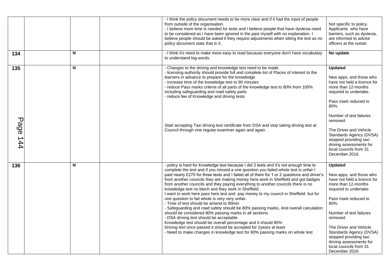|                 |   | - I think the policy document needs to be more clear and if it had the input of people<br>from outside of the organisation.<br>- I believe more time is needed for tests and I believe people that have dyslexia need<br>to be considered as I have been ignored in the past myself with no explanation. I<br>believe people should be asked if they require adjustments when sitting the test as no<br>policy document stats that in it.                                                                                                                                                                                                                                                                                                                                                                                                                                                                                                                                                                                                                                                                            | Not specific to policy.<br>Applicants who have<br>barriers, such as dyslexia,<br>are informed to advise<br>officers at the outset.                                                                                                                                                                                                                    |
|-----------------|---|----------------------------------------------------------------------------------------------------------------------------------------------------------------------------------------------------------------------------------------------------------------------------------------------------------------------------------------------------------------------------------------------------------------------------------------------------------------------------------------------------------------------------------------------------------------------------------------------------------------------------------------------------------------------------------------------------------------------------------------------------------------------------------------------------------------------------------------------------------------------------------------------------------------------------------------------------------------------------------------------------------------------------------------------------------------------------------------------------------------------|-------------------------------------------------------------------------------------------------------------------------------------------------------------------------------------------------------------------------------------------------------------------------------------------------------------------------------------------------------|
| 134             | N | - I think it's need to make more easy to read because everyone don't have vocabulary<br>to understand big words.                                                                                                                                                                                                                                                                                                                                                                                                                                                                                                                                                                                                                                                                                                                                                                                                                                                                                                                                                                                                     | No update                                                                                                                                                                                                                                                                                                                                             |
| 135             | N | - Changes to the driving and knowledge test need to be made.<br>- licensing authority should provide full and complete list of Places of interest to the<br>learners in advance to prepare for the knowledge<br>- increase time of the knowledge test to 90 minutes<br>- reduce Pass marks criteria of all parts of the knowledge test to 80% from 100%<br>including safeguarding and road safety parts<br>- reduce fee of Knowledge and driving tests                                                                                                                                                                                                                                                                                                                                                                                                                                                                                                                                                                                                                                                               | <b>Updated</b><br>New apps, and those who<br>have not held a licence for<br>more than 12-months<br>required to undertake.<br>Pass mark reduced to<br>80%.<br>Number of test failures                                                                                                                                                                  |
| <b>Page 144</b> |   | Start accepting Taxi driving test certificate from DSA and stop taking driving test at<br>Council through one regular examiner again and again.                                                                                                                                                                                                                                                                                                                                                                                                                                                                                                                                                                                                                                                                                                                                                                                                                                                                                                                                                                      | removed.<br>The Driver and Vehicle<br>Standards Agency (DVSA)<br>stopped providing taxi<br>driving assessments for<br>local councils from 31<br>December 2016                                                                                                                                                                                         |
| 136             | N | - policy is hard for knowledge test because I did 3 tests and it's not enough time to<br>complete the test and if you missed a one question you failed whole test is unfair I<br>paid nearly £270 for three tests and I failed all of them for 1 or 2 questions and driver's<br>from another councils they are making money here work in Sheffield and got badges<br>from another councils and they paying everything to another councils there is no<br>knowledge test no btech and they work in Sheffield.<br>I want to work here pass here test and pay money to my council in Sheffield but for<br>one question to fail whole is very very unfair.<br>- Time of test should be amend to 90min<br>- Safeguarding and road safety should be 80% passing marks, And overall calculation<br>should be considered 80% passing marks in all sections<br>- DSA driving test should be acceptable<br>Knowledge test should be overall percentage and it should 80%<br>Driving test once passed it should be accepted for 2years at least<br>- Need to make changes in knowledge test for 80% passing marks on whole test | <b>Updated</b><br>New apps, and those who<br>have not held a licence for<br>more than 12-months<br>required to undertake.<br>Pass mark reduced to<br>80%.<br>Number of test failures<br>removed.<br>The Driver and Vehicle<br>Standards Agency (DVSA)<br>stopped providing taxi<br>driving assessments for<br>local councils from 31<br>December 2016 |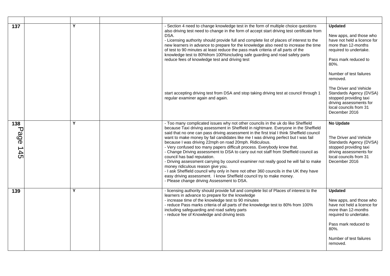| 137                     | Y | - Section 4 need to change knowledge test in the form of multiple choice questions<br>also driving test need to change in the form of accept start driving test certificate from<br>DSA.<br>- Licensing authority should provide full and complete list of places of interest to the<br>new learners in advance to prepare for the knowledge also need to increase the time<br>of test to 90 minutes at least reduce the pass mark criteria of all parts of the<br>knowledge test to 80%from 100%including safe guarding and road safety parts<br>reduce fees of knowledge test and driving test                                                                                                                                                                                                                                                                                                                                                                     | <b>Updated</b><br>New apps, and those who<br>have not held a licence for<br>more than 12-months<br>required to undertake.<br>Pass mark reduced to<br>80%.                                        |
|-------------------------|---|----------------------------------------------------------------------------------------------------------------------------------------------------------------------------------------------------------------------------------------------------------------------------------------------------------------------------------------------------------------------------------------------------------------------------------------------------------------------------------------------------------------------------------------------------------------------------------------------------------------------------------------------------------------------------------------------------------------------------------------------------------------------------------------------------------------------------------------------------------------------------------------------------------------------------------------------------------------------|--------------------------------------------------------------------------------------------------------------------------------------------------------------------------------------------------|
|                         |   | start accepting driving test from DSA and stop taking driving test at council through 1<br>regular examiner again and again.                                                                                                                                                                                                                                                                                                                                                                                                                                                                                                                                                                                                                                                                                                                                                                                                                                         | Number of test failures<br>removed.<br>The Driver and Vehicle<br>Standards Agency (DVSA)<br>stopped providing taxi<br>driving assessments for<br>local councils from 31<br>December 2016         |
| 138<br>᠊ᠸ<br>age<br>145 | Υ | - Too many complicated issues why not other councils in the uk do like Sheffield<br>because Taxi driving assessment in Sheffield in nightmare. Everyone in the Sheffield<br>said that no one can pass driving assessment in the first trial I think Sheffield council<br>want to make money by fail candidates like me I was driving perfect but I was fail<br>because I was driving 22mph on road 20mph. Ridiculous.<br>- Very confused too many papers difficult process. Everybody know that.<br>- Change Driving assessment to DSA to carry out not staff from Sheffield council as<br>council has bad reputation.<br>- Driving assessment carrying by council examiner not really good he will fail to make<br>money ridiculous reason give you.<br>- I ask Sheffield council why only in here not other 360 councils in the UK they have<br>easy driving assessment. I know Sheffield council try to make money.<br>- Please change driving Assessment to DSA. | <b>No Update</b><br>The Driver and Vehicle<br>Standards Agency (DVSA)<br>stopped providing taxi<br>driving assessments for<br>local councils from 31<br>December 2016                            |
| 139                     | Υ | - licensing authority should provide full and complete list of Places of interest to the<br>learners in advance to prepare for the knowledge<br>- increase time of the knowledge test to 90 minutes<br>- reduce Pass marks criteria of all parts of the knowledge test to 80% from 100%<br>including safeguarding and road safety parts<br>- reduce fee of Knowledge and driving tests                                                                                                                                                                                                                                                                                                                                                                                                                                                                                                                                                                               | <b>Updated</b><br>New apps, and those who<br>have not held a licence for<br>more than 12-months<br>required to undertake.<br>Pass mark reduced to<br>80%.<br>Number of test failures<br>removed. |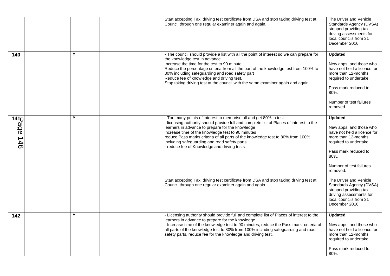|                                |   | Start accepting Taxi driving test certificate from DSA and stop taking driving test at<br>Council through one regular examiner again and again.                                                                                                                                                                                                                                                                                                          | The Driver and Vehicle<br>Standards Agency (DVSA)<br>stopped providing taxi<br>driving assessments for<br>local councils from 31<br>December 2016                                                |
|--------------------------------|---|----------------------------------------------------------------------------------------------------------------------------------------------------------------------------------------------------------------------------------------------------------------------------------------------------------------------------------------------------------------------------------------------------------------------------------------------------------|--------------------------------------------------------------------------------------------------------------------------------------------------------------------------------------------------|
| 140                            | Y | - The council should provide a list with all the point of interest so we can prepare for<br>the knowledge test in advance.<br>Increase the time for the test to 90 minute.<br>Reduce the percentage criteria from all the part of the knowledge test from 100% to<br>80% including safeguarding and road safety part<br>Reduce fee of knowledge and driving test.<br>Stop taking driving test at the council with the same examiner again and again.     | <b>Updated</b><br>New apps, and those who<br>have not held a licence for<br>more than 12-months<br>required to undertake.<br>Pass mark reduced to<br>80%.<br>Number of test failures<br>removed. |
| 14 <sup>†</sup><br>$30e$ $146$ | Υ | - Too many points of interest to memorise all and get 80% in test.<br>- licensing authority should provide full and complete list of Places of interest to the<br>learners in advance to prepare for the knowledge<br>increase time of the knowledge test to 90 minutes<br>reduce Pass marks criteria of all parts of the knowledge test to 80% from 100%<br>including safeguarding and road safety parts<br>- reduce fee of Knowledge and driving tests | <b>Updated</b><br>New apps, and those who<br>have not held a licence for<br>more than 12-months<br>required to undertake.<br>Pass mark reduced to<br>80%.<br>Number of test failures<br>removed. |
|                                |   | Start accepting Taxi driving test certificate from DSA and stop taking driving test at<br>Council through one regular examiner again and again.                                                                                                                                                                                                                                                                                                          | The Driver and Vehicle<br>Standards Agency (DVSA)<br>stopped providing taxi<br>driving assessments for<br>local councils from 31<br>December 2016                                                |
| 142                            | Υ | - Licensing authority should provide full and complete list of Places of interest to the<br>learners in advance to prepare for the knowledge.<br>- Increase time of the knowledge test to 90 minutes, reduce the Pass mark criteria of<br>all parts of the knowledge test to 80% from 100% including safeguarding and road<br>safety parts, reduce fee for the knowledge and driving test,                                                               | <b>Updated</b><br>New apps, and those who<br>have not held a licence for<br>more than 12-months<br>required to undertake.<br>Pass mark reduced to<br>80%.                                        |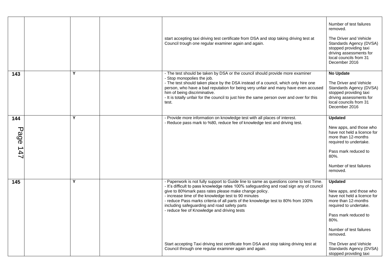|                                                |   | start accepting taxi driving test certificate from DSA and stop taking driving test at<br>Council trough one regular examiner again and again.                                                                                                                                                                                                                                                                                                                                                                                                                                  | Number of test failures<br>removed.<br>The Driver and Vehicle<br>Standards Agency (DVSA)<br>stopped providing taxi<br>driving assessments for<br>local councils from 31<br>December 2016                                   |
|------------------------------------------------|---|---------------------------------------------------------------------------------------------------------------------------------------------------------------------------------------------------------------------------------------------------------------------------------------------------------------------------------------------------------------------------------------------------------------------------------------------------------------------------------------------------------------------------------------------------------------------------------|----------------------------------------------------------------------------------------------------------------------------------------------------------------------------------------------------------------------------|
| 143                                            | Y | - The test should be taken by DSA or the council should provide more examiner<br>- Stop monopolies the job.<br>- The test should taken place by the DSA instead of a council, which only hire one<br>person, who have a bad reputation for being very unfair and many have even accused<br>him of being discriminative.<br>- It is totally unfair for the council to just hire the same person over and over for this<br>test.                                                                                                                                                  | <b>No Update</b><br>The Driver and Vehicle<br>Standards Agency (DVSA)<br>stopped providing taxi<br>driving assessments for<br>local councils from 31<br>December 2016                                                      |
| 144<br>$\overline{\mathbf{U}}$<br>$-20e$ $+47$ | Y | - Provide more information on knowledge test with all places of interest.<br>- Reduce pass mark to %80, reduce fee of knowledge test and driving test.                                                                                                                                                                                                                                                                                                                                                                                                                          | <b>Updated</b><br>New apps, and those who<br>have not held a licence for<br>more than 12-months<br>required to undertake.<br>Pass mark reduced to<br>80%.<br>Number of test failures<br>removed.                           |
| 145                                            | Y | - Paperwork is not fully support to Guide line to same as questions come to test Time.<br>- It's difficult to pass knowledge rates 100% safeguarding and road sign any of council<br>give to 80% mark pass rates please make change policy.<br>- increase time of the knowledge test to 90 minutes<br>- reduce Pass marks criteria of all parts of the knowledge test to 80% from 100%<br>including safeguarding and road safety parts<br>- reduce fee of Knowledge and driving tests<br>Start accepting Taxi driving test certificate from DSA and stop taking driving test at | <b>Updated</b><br>New apps, and those who<br>have not held a licence for<br>more than 12-months<br>required to undertake.<br>Pass mark reduced to<br>80%.<br>Number of test failures<br>removed.<br>The Driver and Vehicle |
|                                                |   | Council through one regular examiner again and again.                                                                                                                                                                                                                                                                                                                                                                                                                                                                                                                           | Standards Agency (DVSA)<br>stopped providing taxi                                                                                                                                                                          |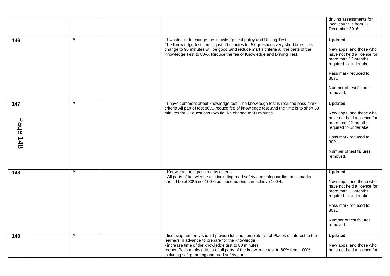|                 |   |                                                                                                                                                                                                                                                                                                                                       | driving assessments for<br>local councils from 31<br>December 2016                                                                                                                                  |
|-----------------|---|---------------------------------------------------------------------------------------------------------------------------------------------------------------------------------------------------------------------------------------------------------------------------------------------------------------------------------------|-----------------------------------------------------------------------------------------------------------------------------------------------------------------------------------------------------|
| 146             | Y | - I would like to change the knowledge test policy and Driving Test<br>The Knowledge test time is just 60 minutes for 57 questions very short time. If its<br>change to 90 minutes will be good .and reduce marks criteria all the parts of the<br>Knowledge Test to 80%. Reduce the fee of Knowledge and Driving Test.               | <b>Updated</b><br>New apps, and those who<br>have not held a licence for<br>more than 12-months<br>required to undertake.<br>Pass mark reduced to<br>$80%$ .<br>Number of test failures<br>removed. |
| 147<br>Page 148 | Y | - I have comment about knowledge test. The knowledge test is reduced pass mark<br>criteria All part of test 80%, reduce fee of knowledge test .and the time is to short 60<br>minutes for 57 questions I would like change to 90 minutes.                                                                                             | <b>Updated</b><br>New apps, and those who<br>have not held a licence for<br>more than 12-months<br>required to undertake.<br>Pass mark reduced to<br>80%.<br>Number of test failures<br>removed.    |
| 148             | Y | - Knowledge test pass marks criteria.<br>- All parts of knowledge test including road safety and safeguarding pass marks<br>should be at 80% not 100% because no one can achieve 100%.                                                                                                                                                | <b>Updated</b><br>New apps, and those who<br>have not held a licence for<br>more than 12-months<br>required to undertake.<br>Pass mark reduced to<br>80%.<br>Number of test failures<br>removed.    |
| 149             | Y | - licensing authority should provide full and complete list of Places of interest to the<br>learners in advance to prepare for the knowledge<br>- increase time of the knowledge test to 80 minutes<br>reduce Pass marks criteria of all parts of the knowledge test to 80% from 100%<br>including safeguarding and road safety parts | <b>Updated</b><br>New apps, and those who<br>have not held a licence for                                                                                                                            |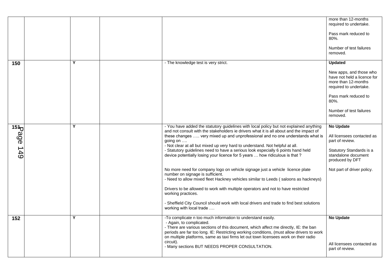|                                    |   |                                                                                                                                                                                                                                                                                                                                                                                   | more than 12-months<br>required to undertake.                                                           |
|------------------------------------|---|-----------------------------------------------------------------------------------------------------------------------------------------------------------------------------------------------------------------------------------------------------------------------------------------------------------------------------------------------------------------------------------|---------------------------------------------------------------------------------------------------------|
|                                    |   |                                                                                                                                                                                                                                                                                                                                                                                   | Pass mark reduced to<br>80%.                                                                            |
|                                    |   |                                                                                                                                                                                                                                                                                                                                                                                   | Number of test failures<br>removed.                                                                     |
| 150                                | Y | - The knowledge test is very strict.                                                                                                                                                                                                                                                                                                                                              | <b>Updated</b>                                                                                          |
|                                    |   |                                                                                                                                                                                                                                                                                                                                                                                   | New apps, and those who<br>have not held a licence for<br>more than 12-months<br>required to undertake. |
|                                    |   |                                                                                                                                                                                                                                                                                                                                                                                   | Pass mark reduced to<br>80%.                                                                            |
|                                    |   |                                                                                                                                                                                                                                                                                                                                                                                   | Number of test failures<br>removed.                                                                     |
|                                    | Y | - You have added the statutory guidelines with local policy but not explained anything                                                                                                                                                                                                                                                                                            | <b>No Update</b>                                                                                        |
| $\frac{15}{15}$<br>$\frac{15}{15}$ |   | and not consult with the stakeholders ie drivers what it is all about and the impact of<br>these changes  very mixed up and unprofessional and no one understands what is<br>going on $\dots$                                                                                                                                                                                     | All licensees contacted as<br>part of review.                                                           |
|                                    |   | - Not clear at all but mixed up very hard to understand. Not helpful at all.<br>- Statutory guidelines need to have a serious look especially 6 points hand held<br>device potentially losing your licence for 5 years  how ridiculous is that?                                                                                                                                   | Statutory Standards is a<br>standalone document<br>produced by DFT                                      |
|                                    |   | No more need for company logo on vehicle signage just a vehicle licence plate<br>number on signage is sufficient.<br>- Need to allow mixed fleet Hackney vehicles similar to Leeds (saloons as hackneys)                                                                                                                                                                          | Not part of driver policy.                                                                              |
|                                    |   | Drivers to be allowed to work with multiple operators and not to have restricted<br>working practices.                                                                                                                                                                                                                                                                            |                                                                                                         |
|                                    |   | - Sheffield City Council should work with local drivers and trade to find best solutions<br>working with local trade                                                                                                                                                                                                                                                              |                                                                                                         |
| 152                                | Y | -To complicate n too much information to understand easily.<br>- Again, to complicated.<br>- There are various sections of this document, which affect me directly, IE: the ban<br>periods are far too long. IE: Restricting working conditions, (must allow drivers to work<br>on multiple platforms, same as taxi firms let out town licensees work on their radio<br>circuit). | <b>No Update</b>                                                                                        |
|                                    |   | - Many sections BUT NEEDS PROPER CONSULTATION.                                                                                                                                                                                                                                                                                                                                    | All licensees contacted as<br>part of review.                                                           |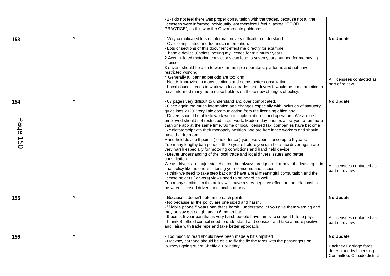|                 |   | - 1- I do not feel there was proper consultation with the trades, because not all the<br>licensees were informed individually, am therefore I feel it lacked "GOOD<br>PRACTICE", as this was the Governments guidance.                                                                                                                                                                                                                                                                                                                                                                                                                                                                                                                                                                                                                                                                                                                                                                                                                                                                                                                                                                                                                                                                                                                                                                                                            |                                                                                                      |
|-----------------|---|-----------------------------------------------------------------------------------------------------------------------------------------------------------------------------------------------------------------------------------------------------------------------------------------------------------------------------------------------------------------------------------------------------------------------------------------------------------------------------------------------------------------------------------------------------------------------------------------------------------------------------------------------------------------------------------------------------------------------------------------------------------------------------------------------------------------------------------------------------------------------------------------------------------------------------------------------------------------------------------------------------------------------------------------------------------------------------------------------------------------------------------------------------------------------------------------------------------------------------------------------------------------------------------------------------------------------------------------------------------------------------------------------------------------------------------|------------------------------------------------------------------------------------------------------|
| 153             | Y | - Very complicated lots of information very difficult to understand.<br>- Over complicated and too much information.<br>- Lots of sections of this document effect me directly for example<br>1 handle device ,6points loosing my licence for minimum 5years<br>2 Accumulated motoring convictions can lead to seven years banned for me having<br>license<br>3 drivers should be able to work for multiple operators, platforms and not have<br>restricted working.<br>4 Generally all banned periods are too long.<br>- Needs improving in many sections and needs better consultation.<br>- Local council needs to work with local trades and drivers it would be good practice to<br>have informed many more stake holders on these new changes of policy.                                                                                                                                                                                                                                                                                                                                                                                                                                                                                                                                                                                                                                                                    | <b>No Update</b><br>All licensees contacted as<br>part of review.                                    |
| 154<br>Page 150 | Υ | - 67 pages very difficult to understand and over complicated.<br>- Once again too much information and changes especially with inclusion of statutory<br>guidelines 2020. Very little communication from the licensing office and SCC.<br>- Drivers should be able to work with multiple platforms and operators. We are self<br>employed should not restricted in our work. Modern day phones allow you to run more<br>than one app at the same time. Some of local licensed taxi companies have become<br>like dictatorship with their monopoly position. We are free lance workers and should<br>have that freedom.<br>Hand held device 6 points (one offence) you lose your licence up to 5 years.<br>Too many lengthy ban periods (5 -7) years before you can be a taxi driver again are<br>very harsh especially for motoring convictions and hand held device<br>- Breyer understanding of the local trade and local drivers issues and better<br>consultation.<br>We as drivers are major stakeholders but always are ignored or have the least input in<br>final policy like no one is listening your concerns and issues.<br>- I think we need to take step back and have a real meaningful consultation and the<br>license holders (drivers) views need to be heard as well.<br>Too many sections in this policy will have a very negative effect on the relationship<br>between licensed drivers and local authority. | <b>No Update</b><br>All licensees contacted as<br>part of review.                                    |
| 155             | Υ | - Because it doesn't determine each points.<br>- No because all the policy are one sided and harsh.<br>- "Mobile phone 5 years ban that's harsh I understand it f you give them warning and<br>may be say get caught again 6 month ban.<br>- 9 points 5 year ban that is very harsh people have family to support bills to pay.<br>- I think Sheffield council need to understand and consider and take a more positive<br>and liaise with trade reps and take better approach.                                                                                                                                                                                                                                                                                                                                                                                                                                                                                                                                                                                                                                                                                                                                                                                                                                                                                                                                                   | <b>No Update</b><br>All licensees contacted as<br>part of review.                                    |
| 156             | Υ | - Too much to read should have been made a bit simplified.<br>- Hackney carriage should be able to fix the fix the fares with the passengers on<br>journeys going out of Sheffield Boundary.                                                                                                                                                                                                                                                                                                                                                                                                                                                                                                                                                                                                                                                                                                                                                                                                                                                                                                                                                                                                                                                                                                                                                                                                                                      | <b>No Update</b><br>Hackney Carriage fares<br>determined by Licensing<br>Committee. Outside district |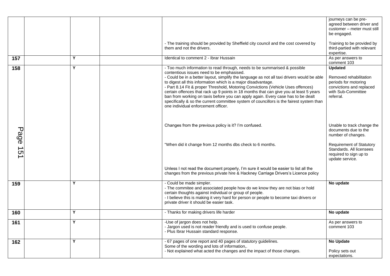|         |   |                                                                                                                                                                                                                                                                                                                                                                                                                                                                                                                                                                                                                                                                                            | journeys can be pre-<br>agreed between driver and<br>customer - meter must still<br>be engaged.                                 |
|---------|---|--------------------------------------------------------------------------------------------------------------------------------------------------------------------------------------------------------------------------------------------------------------------------------------------------------------------------------------------------------------------------------------------------------------------------------------------------------------------------------------------------------------------------------------------------------------------------------------------------------------------------------------------------------------------------------------------|---------------------------------------------------------------------------------------------------------------------------------|
|         |   | - The training should be provided by Sheffield city council and the cost covered by<br>them and not the drivers.                                                                                                                                                                                                                                                                                                                                                                                                                                                                                                                                                                           | Training to be provided by<br>third-partied with relevant<br>expertise.                                                         |
| 157     | Υ | Identical to comment 2 - Ibrar Hussain                                                                                                                                                                                                                                                                                                                                                                                                                                                                                                                                                                                                                                                     | As per answers to<br>comment 103                                                                                                |
| 158     | Y | - Too much information to read through, needs to be summarised & possible<br>contentious issues need to be emphasised.<br>- Could be in a better layout, simplify the language as not all taxi drivers would be able<br>to digest all this information which is a major disadvantage.<br>- Part 8.14 Fit & proper Threshold, Motoring Convictions (Vehicle Uses offences)<br>certain offences that rack up 9 points in 18 months that can give you at least 5 years<br>ban from working on taxis before you can apply again. Every case has to be dealt<br>specifically & so the current committee system of councillors is the fairest system than<br>one individual enforcement officer. | <b>Updated</b><br>Removed rehabilitation<br>periods for motoring<br>convictions and replaced<br>with Sub-Committee<br>referral. |
| Page 15 |   | Changes from the previous policy is it? I'm confused.                                                                                                                                                                                                                                                                                                                                                                                                                                                                                                                                                                                                                                      | Unable to track change the<br>documents due to the<br>number of changes.                                                        |
|         |   | "When did it change from 12 months dbs check to 6 months.                                                                                                                                                                                                                                                                                                                                                                                                                                                                                                                                                                                                                                  | <b>Requirement of Statutory</b><br>Standards. All licensees<br>required to sign up to<br>update service.                        |
|         |   | Unless I not read the document properly, I'm sure it would be easier to list all the<br>changes from the previous private hire & Hackney Carriage Drivers's Licence policy                                                                                                                                                                                                                                                                                                                                                                                                                                                                                                                 |                                                                                                                                 |
| 159     | Y | - Could be made simpler.<br>- The commitee and associated people how do we know they are not bias or hold<br>certain thoughts against individual or group of people.<br>- I believe this is making it very hard for person or people to become taxi drivers or<br>private driver it should be easier task.                                                                                                                                                                                                                                                                                                                                                                                 | No update                                                                                                                       |
| 160     | Υ | - Thanks for making drivers life harder                                                                                                                                                                                                                                                                                                                                                                                                                                                                                                                                                                                                                                                    | No update                                                                                                                       |
| 161     | Υ | -Use of jargon does not help.<br>- Jargon used is not reader friendly and is used to confuse people.<br>- Plus Ibrar Hussain standard response.                                                                                                                                                                                                                                                                                                                                                                                                                                                                                                                                            | As per answers to<br>comment 103                                                                                                |
| 162     | Y | - 67 pages of one report and 40 pages of statutory guidelines.<br>Some of the wording and lots of information,.<br>- Not explained what acted the changes and the impact of those changes.                                                                                                                                                                                                                                                                                                                                                                                                                                                                                                 | <b>No Update</b><br>Policy sets out<br>expectations.                                                                            |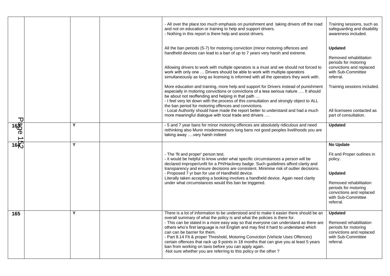|                  |   | - All over the place too much emphasis on punishment and taking drivers off the road<br>and not on education or training to help and support drivers.<br>- Nothing in this report is there help and assist drivers.                                                                                                                                                                                                                                                                                                                                                                                                                                                                                                                                                                                                       | Training sessions, such as<br>safeguarding and disability<br>awareness included.                                                                                                      |
|------------------|---|---------------------------------------------------------------------------------------------------------------------------------------------------------------------------------------------------------------------------------------------------------------------------------------------------------------------------------------------------------------------------------------------------------------------------------------------------------------------------------------------------------------------------------------------------------------------------------------------------------------------------------------------------------------------------------------------------------------------------------------------------------------------------------------------------------------------------|---------------------------------------------------------------------------------------------------------------------------------------------------------------------------------------|
|                  |   | All the ban periods (5-7) for motoring conviction (minor motoring offences and<br>handheld devices can lead to a ban of up to 7 years very harsh and extreme.<br>Allowing drivers to work with multiple operators is a must and we should not forced to<br>work with only one  Drivers should be able to work with multiple operators<br>simultaneously as long as licensing is informed with all the operators they work with.<br>More education and training, more help and support for Drivers instead of punishment<br>especially in motoring convictions or convictions of a less serious nature  It should<br>be about not reoffending and helping in that path<br>- I feel very let down with the process of this consultation and strongly object to ALL<br>the ban period for motoring offences and convictions. | <b>Updated</b><br>Removed rehabilitation<br>periods for motoring<br>convictions and replaced<br>with Sub-Committee<br>referral.<br>Training sessions included.                        |
| ᠊᠐               |   | - Local Authority should have made the report better to understand and had a much<br>more meaningful dialogue with local trade and drivers                                                                                                                                                                                                                                                                                                                                                                                                                                                                                                                                                                                                                                                                                | All licensees contacted as<br>part of consultation.                                                                                                                                   |
| 1680<br>0<br>16代 | Y | - 5 and 7 year bans for minor motoring offences are absolutely ridiculous and need<br>rethinking also Munir misdemeanours long bans not good peoples livelihoods you are<br>taking away  very harsh indeed                                                                                                                                                                                                                                                                                                                                                                                                                                                                                                                                                                                                                | <b>Updated</b>                                                                                                                                                                        |
|                  | Y | - The 'fit and proper' person test.<br>- it would be helpful to know under what specific circumstances a person will be<br>declared improper/unfit for a PH/Hackney badge. Such guidelines afford clarity and<br>transparency and ensure decisions are consistent. Minimise risk of outlier decisions.<br>- Proposed 7 yr ban for use of Handheld device.<br>Literally taken accepting a booking involves a handheld device. Again need clarity<br>under what circumstances would this ban be triggered.                                                                                                                                                                                                                                                                                                                  | No Update<br>Fit and Proper outlines in<br>policy.<br><b>Updated</b><br>Removed rehabilitation<br>periods for motoring<br>convictions and replaced<br>with Sub-Committee<br>referral. |
| 165              | Y | There is a lot of information to be understood and to make it easier there should be an<br>overall summary of what the policy is and what the policies is there for.<br>- This can be stated in a more easy way so that everyone can understand as there are<br>others who's first language is not English and may find it hard to understand which<br>can can be barrier for them.<br>- Part 8.14 Fit & proper Threshold, Motoring Conviction (Vehicle Uses Offences)<br>certain offences that rack up 9 points in 18 months that can give you at least 5 years<br>ban from working on taxis before you can apply again.<br>-Not sure whether you are referring to this policy or the other?                                                                                                                             | <b>Updated</b><br>Removed rehabilitation<br>periods for motoring<br>convictions and replaced<br>with Sub-Committee<br>referral.                                                       |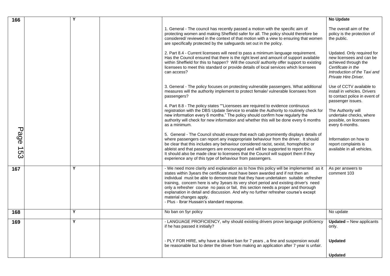| 166      | Υ |                                                                                                                                                                                                                                                                                                                                                                                                                                                                                                                                                                                                               | <b>No Update</b>                                                                                                                                             |
|----------|---|---------------------------------------------------------------------------------------------------------------------------------------------------------------------------------------------------------------------------------------------------------------------------------------------------------------------------------------------------------------------------------------------------------------------------------------------------------------------------------------------------------------------------------------------------------------------------------------------------------------|--------------------------------------------------------------------------------------------------------------------------------------------------------------|
|          |   | 1. General - The council has recently passed a motion with the specific aim of<br>protecting women and making Sheffield safer for all. The policy should therefore be<br>considered/ reviewed in the context of that motion with a view to ensuring that women<br>are specifically protected by the safeguards set out in the policy.                                                                                                                                                                                                                                                                         | The overall aim of the<br>policy is the protection of<br>the public.                                                                                         |
|          |   | 2. Part 8.4 - Current licensees will need to pass a minimum language requirement.<br>Has the Council ensured that there is the right level and amount of support available<br>within Sheffield for this to happen? Will the council/ authority offer support to existing<br>licensees to meet this standard or provide details of local services which licensees<br>can access?                                                                                                                                                                                                                               | Updated. Only required for<br>new licensees and can be<br>achieved through the<br>Certificate in the<br>Introduction of the Taxi and<br>Private Hire Driver. |
|          |   | 3. General - The policy focuses on protecting vulnerable passengers. What additional<br>measures will the authority implement to protect female/ vulnerable licensees from<br>passengers?                                                                                                                                                                                                                                                                                                                                                                                                                     | Use of CCTV available to<br>install in vehicles. Drivers<br>to contact police in event of<br>passenger issues.                                               |
|          |   | 4. Part 8.8 - The policy states ""Licensees are required to evidence continuous<br>registration with the DBS Update Service to enable the Authority to routinely check for<br>new information every 6 months." The policy should confirm how regularly the<br>authority will check for new information and whether this will be done every 6 months<br>as a minimum.                                                                                                                                                                                                                                          | The Authority will<br>undertake checks, where<br>possible, on licensees<br>every 6-months.                                                                   |
| Page 153 |   | 5. General - The Council should ensure that each cab prominently displays details of<br>where passengers can report any inappropriate behaviour from the driver. It should<br>be clear that this includes any behaviour considered racist, sexist, homophobic or<br>ableist and that passengers are encouraged and will be supported to report this.<br>It should also be made clear to licensees that the Council will support them if they<br>experience any of this type of behaviour from passengers.                                                                                                     | Information on how to<br>report complaints is<br>available in all vehicles.                                                                                  |
| 167      | Y | - We need more clarity and explanation as to how this policy will be implemented as it<br>states within 3years the certificate must have been awarded and if not then an<br>individual must be able to demonstrate that they have undertaken suitable refresher<br>training, concern here is why 3years its very short period and existing driver's need<br>only a refresher course no pass or fail, this section needs a proper and thorough<br>explanation in detail and discussion. And why no further refresher course's except<br>material changes apply.<br>- Plus - Ibrar Hussain's standard response. | As per answers to<br>comment 103                                                                                                                             |
| 168      | Y | No ban on 5yr policy                                                                                                                                                                                                                                                                                                                                                                                                                                                                                                                                                                                          | No update                                                                                                                                                    |
| 169      | Y | - LANGUAGE PROFICIENCY, why should existing drivers prove language proficiency<br>if he has passed it initially?                                                                                                                                                                                                                                                                                                                                                                                                                                                                                              | <b>Updated – New applicants</b><br>only.                                                                                                                     |
|          |   | - PLY FOR HIRE, why have a blanket ban for 7 years, a fine and suspension would<br>be reasonable but to deter the driver from making an application after 7 year is unfair.                                                                                                                                                                                                                                                                                                                                                                                                                                   | <b>Updated</b>                                                                                                                                               |
|          |   |                                                                                                                                                                                                                                                                                                                                                                                                                                                                                                                                                                                                               | <b>Updated</b>                                                                                                                                               |